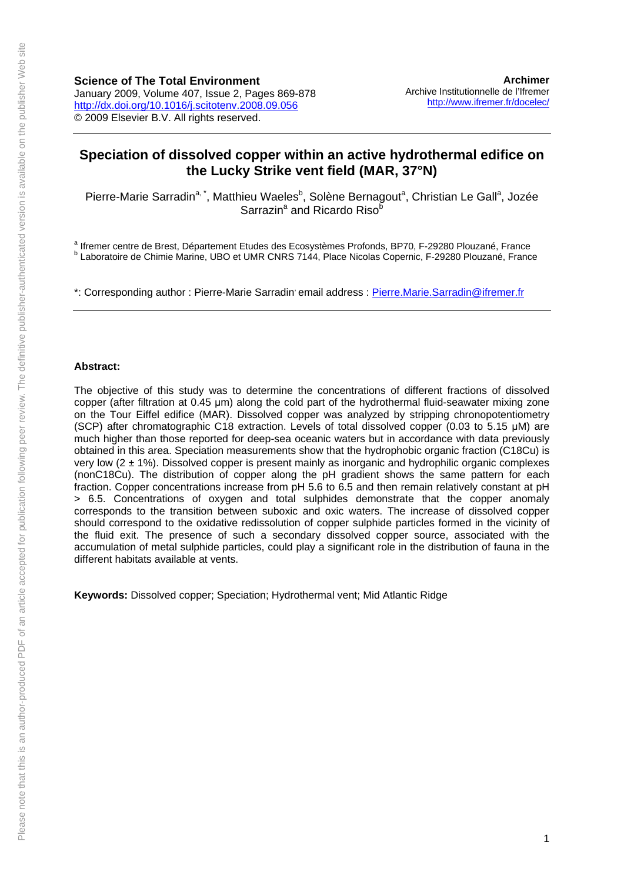# **Speciation of dissolved copper within an active hydrothermal edifice on the Lucky Strike vent field (MAR, 37°N)**

Pierre-Marie Sarradin<sup>a, \*</sup>, Matthieu Waeles<sup>b</sup>, Solène Bernagout<sup>a</sup>, Christian Le Gall<sup>a</sup>, Jozée Sarrazin<sup>a</sup> and Ricardo Riso<sup>b</sup>

a lifremer centre de Brest, Département Etudes des Ecosystèmes Profonds, BP70, F-29280 Plouzané, France<br>b Loberateire de Chimie Merine, UPO et UMP CNBS 7144, Plege Nicolae Conergie E 20280 Plouzané, France <sup>b</sup> Laboratoire de Chimie Marine, UBO et UMR CNRS 7144, Place Nicolas Copernic, F-29280 Plouzané, France

\*: Corresponding author : Pierre-Marie Sarradin email address : [Pierre.Marie.Sarradin@ifremer.fr](mailto:Pierre.Marie.Sarradin@ifremer.fr)

#### **Abstract:**

The objective of this study was to determine the concentrations of different fractions of dissolved copper (after filtration at 0.45 μm) along the cold part of the hydrothermal fluid-seawater mixing zone on the Tour Eiffel edifice (MAR). Dissolved copper was analyzed by stripping chronopotentiometry (SCP) after chromatographic C18 extraction. Levels of total dissolved copper (0.03 to 5.15 μM) are much higher than those reported for deep-sea oceanic waters but in accordance with data previously obtained in this area. Speciation measurements show that the hydrophobic organic fraction (C18Cu) is very low  $(2 \pm 1\%)$ . Dissolved copper is present mainly as inorganic and hydrophilic organic complexes (nonC18Cu). The distribution of copper along the pH gradient shows the same pattern for each fraction. Copper concentrations increase from pH 5.6 to 6.5 and then remain relatively constant at pH > 6.5. Concentrations of oxygen and total sulphides demonstrate that the copper anomaly corresponds to the transition between suboxic and oxic waters. The increase of dissolved copper should correspond to the oxidative redissolution of copper sulphide particles formed in the vicinity of the fluid exit. The presence of such a secondary dissolved copper source, associated with the accumulation of metal sulphide particles, could play a significant role in the distribution of fauna in the different habitats available at vents.

**Keywords:** Dissolved copper; Speciation; Hydrothermal vent; Mid Atlantic Ridge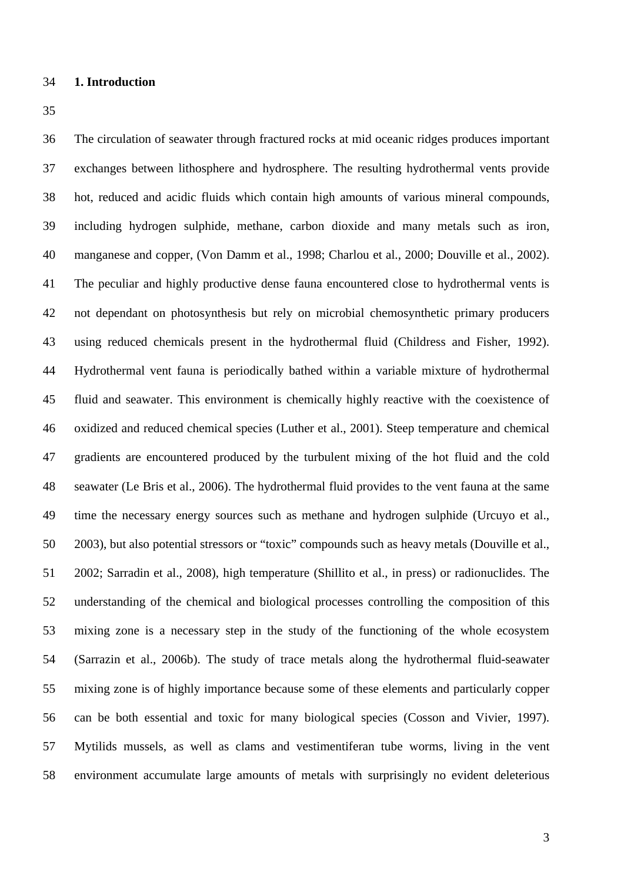## **1. Introduction**

 The circulation of seawater through fractured rocks at mid oceanic ridges produces important exchanges between lithosphere and hydrosphere. The resulting hydrothermal vents provide hot, reduced and acidic fluids which contain high amounts of various mineral compounds, including hydrogen sulphide, methane, carbon dioxide and many metals such as iron, manganese and copper, (Von Damm et al., 1998; Charlou et al., 2000; Douville et al., 2002). The peculiar and highly productive dense fauna encountered close to hydrothermal vents is not dependant on photosynthesis but rely on microbial chemosynthetic primary producers using reduced chemicals present in the hydrothermal fluid (Childress and Fisher, 1992). Hydrothermal vent fauna is periodically bathed within a variable mixture of hydrothermal fluid and seawater. This environment is chemically highly reactive with the coexistence of oxidized and reduced chemical species (Luther et al., 2001). Steep temperature and chemical gradients are encountered produced by the turbulent mixing of the hot fluid and the cold seawater (Le Bris et al., 2006). The hydrothermal fluid provides to the vent fauna at the same time the necessary energy sources such as methane and hydrogen sulphide (Urcuyo et al., 2003), but also potential stressors or "toxic" compounds such as heavy metals (Douville et al., 2002; Sarradin et al., 2008), high temperature (Shillito et al., in press) or radionuclides. The understanding of the chemical and biological processes controlling the composition of this mixing zone is a necessary step in the study of the functioning of the whole ecosystem (Sarrazin et al., 2006b). The study of trace metals along the hydrothermal fluid-seawater mixing zone is of highly importance because some of these elements and particularly copper can be both essential and toxic for many biological species (Cosson and Vivier, 1997). Mytilids mussels, as well as clams and vestimentiferan tube worms, living in the vent environment accumulate large amounts of metals with surprisingly no evident deleterious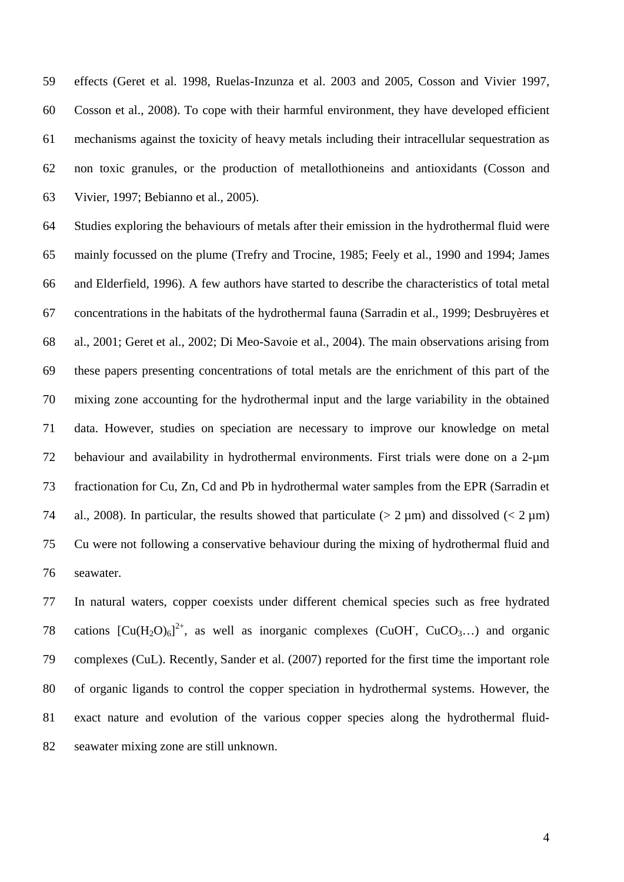effects (Geret et al. 1998, Ruelas-Inzunza et al. 2003 and 2005, Cosson and Vivier 1997, Cosson et al., 2008). To cope with their harmful environment, they have developed efficient mechanisms against the toxicity of heavy metals including their intracellular sequestration as non toxic granules, or the production of metallothioneins and antioxidants (Cosson and Vivier, 1997; Bebianno et al., 2005).

 Studies exploring the behaviours of metals after their emission in the hydrothermal fluid were mainly focussed on the plume (Trefry and Trocine, 1985; Feely et al., 1990 and 1994; James and Elderfield, 1996). A few authors have started to describe the characteristics of total metal concentrations in the habitats of the hydrothermal fauna (Sarradin et al., 1999; Desbruyères et al., 2001; Geret et al., 2002; Di Meo-Savoie et al., 2004). The main observations arising from these papers presenting concentrations of total metals are the enrichment of this part of the mixing zone accounting for the hydrothermal input and the large variability in the obtained data. However, studies on speciation are necessary to improve our knowledge on metal behaviour and availability in hydrothermal environments. First trials were done on a 2-µm fractionation for Cu, Zn, Cd and Pb in hydrothermal water samples from the EPR (Sarradin et 74 al., 2008). In particular, the results showed that particulate ( $> 2 \mu m$ ) and dissolved ( $< 2 \mu m$ ) Cu were not following a conservative behaviour during the mixing of hydrothermal fluid and seawater.

 In natural waters, copper coexists under different chemical species such as free hydrated 78 cations  $[Cu(H<sub>2</sub>O)<sub>6</sub>]<sup>2+</sup>$ , as well as inorganic complexes (CuOH, CuCO<sub>3</sub>...) and organic complexes (CuL). Recently, Sander et al. (2007) reported for the first time the important role of organic ligands to control the copper speciation in hydrothermal systems. However, the exact nature and evolution of the various copper species along the hydrothermal fluid-seawater mixing zone are still unknown.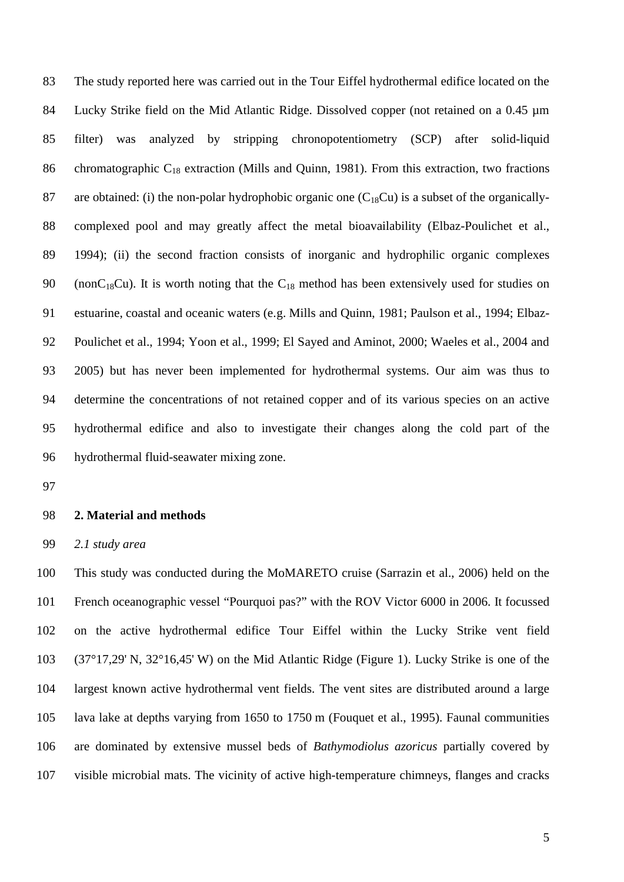The study reported here was carried out in the Tour Eiffel hydrothermal edifice located on the 84 Lucky Strike field on the Mid Atlantic Ridge. Dissolved copper (not retained on a 0.45 µm filter) was analyzed by stripping chronopotentiometry (SCP) after solid-liquid 86 chromatographic  $C_{18}$  extraction (Mills and Quinn, 1981). From this extraction, two fractions 87 are obtained: (i) the non-polar hydrophobic organic one  $(C_{18}Cu)$  is a subset of the organically- complexed pool and may greatly affect the metal bioavailability (Elbaz-Poulichet et al., 1994); (ii) the second fraction consists of inorganic and hydrophilic organic complexes 90 (non $C_{18}Cu$ ). It is worth noting that the  $C_{18}$  method has been extensively used for studies on estuarine, coastal and oceanic waters (e.g. Mills and Quinn, 1981; Paulson et al., 1994; Elbaz- Poulichet et al., 1994; Yoon et al., 1999; El Sayed and Aminot, 2000; Waeles et al., 2004 and 2005) but has never been implemented for hydrothermal systems. Our aim was thus to determine the concentrations of not retained copper and of its various species on an active hydrothermal edifice and also to investigate their changes along the cold part of the hydrothermal fluid-seawater mixing zone.

### **2. Material and methods**

*2.1 study area*

 This study was conducted during the MoMARETO cruise (Sarrazin et al., 2006) held on the French oceanographic vessel "Pourquoi pas?" with the ROV Victor 6000 in 2006. It focussed on the active hydrothermal edifice Tour Eiffel within the Lucky Strike vent field (37°17,29' N, 32°16,45' W) on the Mid Atlantic Ridge (Figure 1). Lucky Strike is one of the largest known active hydrothermal vent fields. The vent sites are distributed around a large lava lake at depths varying from 1650 to 1750 m (Fouquet et al., 1995). Faunal communities are dominated by extensive mussel beds of *Bathymodiolus azoricus* partially covered by visible microbial mats. The vicinity of active high-temperature chimneys, flanges and cracks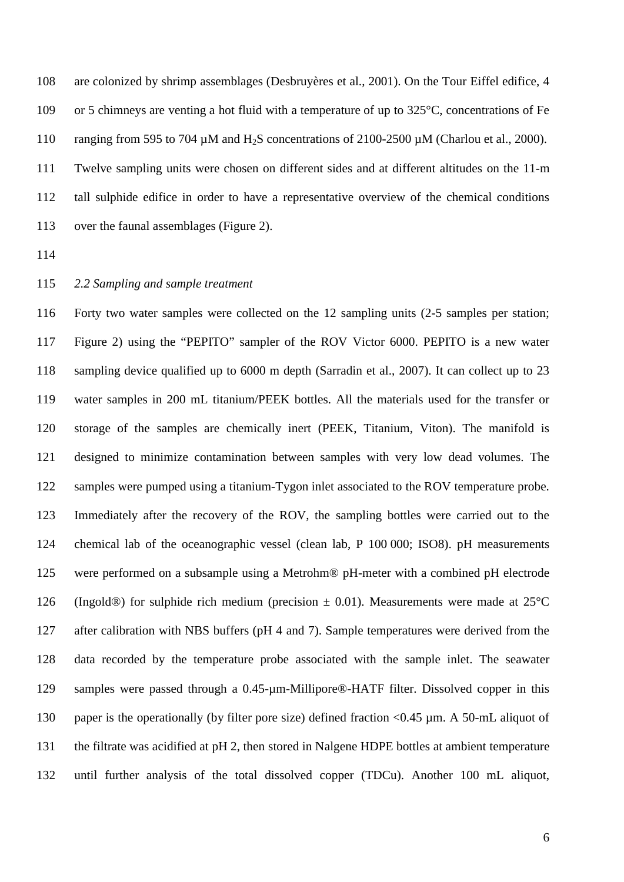are colonized by shrimp assemblages (Desbruyères et al., 2001). On the Tour Eiffel edifice, 4 or 5 chimneys are venting a hot fluid with a temperature of up to 325°C, concentrations of Fe 110 ranging from 595 to 704  $\mu$ M and H<sub>2</sub>S concentrations of 2100-2500  $\mu$ M (Charlou et al., 2000). Twelve sampling units were chosen on different sides and at different altitudes on the 11-m tall sulphide edifice in order to have a representative overview of the chemical conditions over the faunal assemblages (Figure 2).

## *2.2 Sampling and sample treatment*

 Forty two water samples were collected on the 12 sampling units (2-5 samples per station; Figure 2) using the "PEPITO" sampler of the ROV Victor 6000. PEPITO is a new water sampling device qualified up to 6000 m depth (Sarradin et al., 2007). It can collect up to 23 water samples in 200 mL titanium/PEEK bottles. All the materials used for the transfer or storage of the samples are chemically inert (PEEK, Titanium, Viton). The manifold is designed to minimize contamination between samples with very low dead volumes. The 122 samples were pumped using a titanium-Tygon inlet associated to the ROV temperature probe. Immediately after the recovery of the ROV, the sampling bottles were carried out to the chemical lab of the oceanographic vessel (clean lab, P 100 000; ISO8). pH measurements were performed on a subsample using a Metrohm® pH-meter with a combined pH electrode 126 (Ingold®) for sulphide rich medium (precision  $\pm$  0.01). Measurements were made at 25 °C 127 after calibration with NBS buffers (pH 4 and 7). Sample temperatures were derived from the data recorded by the temperature probe associated with the sample inlet. The seawater samples were passed through a 0.45-µm-Millipore®-HATF filter. Dissolved copper in this paper is the operationally (by filter pore size) defined fraction <0.45 µm. A 50-mL aliquot of the filtrate was acidified at pH 2, then stored in Nalgene HDPE bottles at ambient temperature until further analysis of the total dissolved copper (TDCu). Another 100 mL aliquot,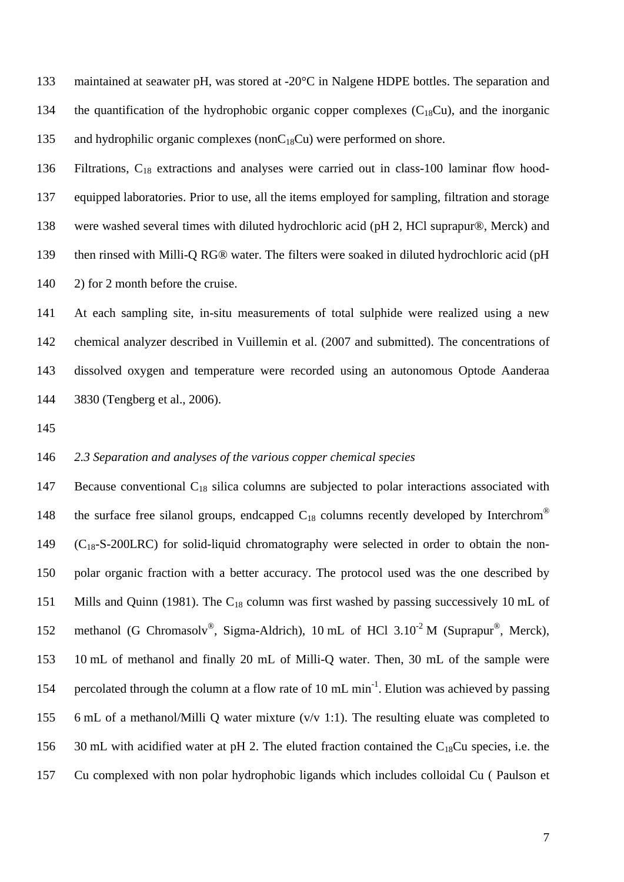133 maintained at seawater pH, was stored at -20°C in Nalgene HDPE bottles. The separation and 134 the quantification of the hydrophobic organic copper complexes  $(C_{18}Cu)$ , and the inorganic 135 and hydrophilic organic complexes (non $C_{18}Cu$ ) were performed on shore.

 Filtrations, C18 extractions and analyses were carried out in class-100 laminar flow hood- equipped laboratories. Prior to use, all the items employed for sampling, filtration and storage were washed several times with diluted hydrochloric acid (pH 2, HCl suprapur®, Merck) and then rinsed with Milli-Q RG® water. The filters were soaked in diluted hydrochloric acid (pH 140 2) for 2 month before the cruise.

 At each sampling site, in-situ measurements of total sulphide were realized using a new chemical analyzer described in Vuillemin et al. (2007 and submitted). The concentrations of dissolved oxygen and temperature were recorded using an autonomous Optode Aanderaa 3830 (Tengberg et al., 2006).

## *2.3 Separation and analyses of the various copper chemical species*

147 Because conventional  $C_{18}$  silica columns are subjected to polar interactions associated with 148 the surface free silanol groups, endcapped  $C_{18}$  columns recently developed by Interchrom<sup>®</sup> (C<sub>18</sub>-S-200LRC) for solid-liquid chromatography were selected in order to obtain the non- polar organic fraction with a better accuracy. The protocol used was the one described by 151 Mills and Quinn (1981). The  $C_{18}$  column was first washed by passing successively 10 mL of 152 methanol (G Chromasolv<sup>®</sup>, Sigma-Aldrich), 10 mL of HCl  $3.10^{-2}$  M (Suprapur<sup>®</sup>, Merck), 10 mL of methanol and finally 20 mL of Milli-Q water. Then, 30 mL of the sample were 154 percolated through the column at a flow rate of 10 mL min<sup>-1</sup>. Elution was achieved by passing 6 mL of a methanol/Milli Q water mixture (v/v 1:1). The resulting eluate was completed to 156 30 mL with acidified water at pH 2. The eluted fraction contained the  $C_{18}Cu$  species, i.e. the Cu complexed with non polar hydrophobic ligands which includes colloidal Cu ( Paulson et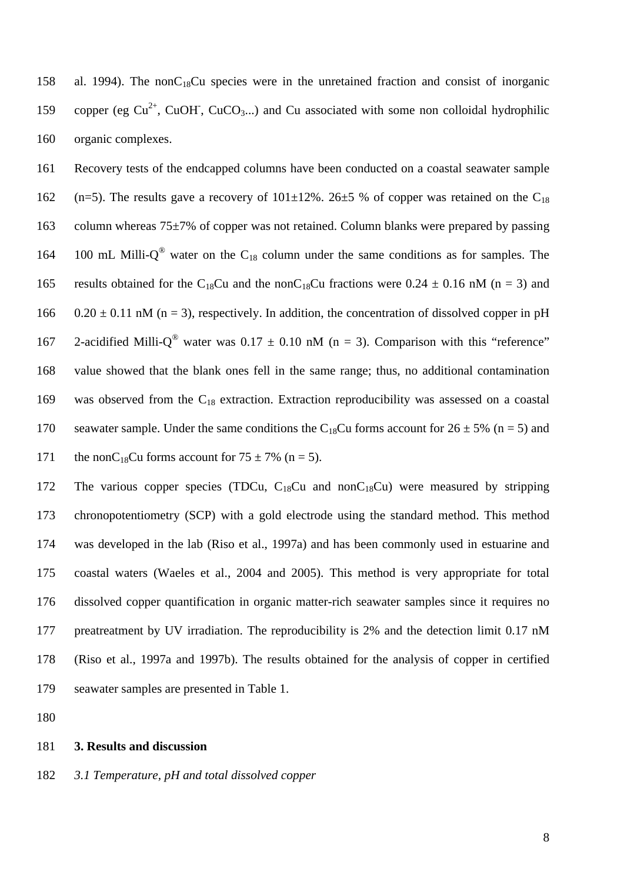158 al. 1994). The non $C_{18}Cu$  species were in the unretained fraction and consist of inorganic 159 copper (eg  $Cu^{2+}$ , CuOH, CuCO<sub>3</sub>...) and Cu associated with some non colloidal hydrophilic 160 organic complexes.

161 Recovery tests of the endcapped columns have been conducted on a coastal seawater sample 162 (n=5). The results gave a recovery of  $101\pm12\%$ . 26 $\pm$ 5 % of copper was retained on the C<sub>18</sub> 163 column whereas  $75\pm7\%$  of copper was not retained. Column blanks were prepared by passing 164 100 mL Milli- $Q^{\circledast}$  water on the C<sub>18</sub> column under the same conditions as for samples. The 165 results obtained for the C<sub>18</sub>Cu and the nonC<sub>18</sub>Cu fractions were 0.24  $\pm$  0.16 nM (n = 3) and 166 0.20  $\pm$  0.11 nM (n = 3), respectively. In addition, the concentration of dissolved copper in pH 167 2-acidified Milli-O<sup>®</sup> water was  $0.17 \pm 0.10$  nM (n = 3). Comparison with this "reference" 168 value showed that the blank ones fell in the same range; thus, no additional contamination 169 was observed from the  $C_{18}$  extraction. Extraction reproducibility was assessed on a coastal 170 seawater sample. Under the same conditions the C<sub>18</sub>Cu forms account for  $26 \pm 5\%$  (n = 5) and 171 the nonC<sub>18</sub>Cu forms account for  $75 \pm 7\%$  (n = 5).

172 The various copper species (TDCu,  $C_{18}$ Cu and non $C_{18}$ Cu) were measured by stripping chronopotentiometry (SCP) with a gold electrode using the standard method. This method was developed in the lab (Riso et al., 1997a) and has been commonly used in estuarine and coastal waters (Waeles et al., 2004 and 2005). This method is very appropriate for total dissolved copper quantification in organic matter-rich seawater samples since it requires no preatreatment by UV irradiation. The reproducibility is 2% and the detection limit 0.17 nM (Riso et al., 1997a and 1997b). The results obtained for the analysis of copper in certified seawater samples are presented in Table 1.

180

#### 181 **3. Results and discussion**

182 *3.1 Temperature, pH and total dissolved copper*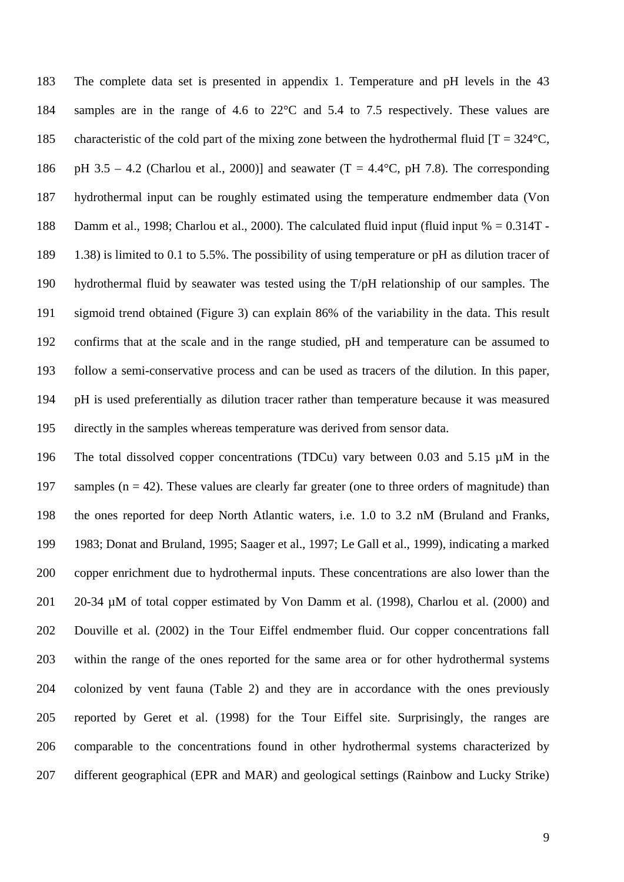The complete data set is presented in appendix 1. Temperature and pH levels in the 43 samples are in the range of 4.6 to 22°C and 5.4 to 7.5 respectively. These values are 185 characteristic of the cold part of the mixing zone between the hydrothermal fluid  $[T = 324^{\circ}C,$ 186 pH 3.5 – 4.2 (Charlou et al., 2000)] and seawater (T = 4.4 $\degree$ C, pH 7.8). The corresponding hydrothermal input can be roughly estimated using the temperature endmember data (Von Damm et al., 1998; Charlou et al., 2000). The calculated fluid input (fluid input % = 0.314T - 1.38) is limited to 0.1 to 5.5%. The possibility of using temperature or pH as dilution tracer of hydrothermal fluid by seawater was tested using the T/pH relationship of our samples. The sigmoid trend obtained (Figure 3) can explain 86% of the variability in the data. This result confirms that at the scale and in the range studied, pH and temperature can be assumed to follow a semi-conservative process and can be used as tracers of the dilution. In this paper, pH is used preferentially as dilution tracer rather than temperature because it was measured directly in the samples whereas temperature was derived from sensor data.

 The total dissolved copper concentrations (TDCu) vary between 0.03 and 5.15 µM in the 197 samples ( $n = 42$ ). These values are clearly far greater (one to three orders of magnitude) than the ones reported for deep North Atlantic waters, i.e. 1.0 to 3.2 nM (Bruland and Franks, 1983; Donat and Bruland, 1995; Saager et al., 1997; Le Gall et al., 1999), indicating a marked copper enrichment due to hydrothermal inputs. These concentrations are also lower than the 201 20-34 µM of total copper estimated by Von Damm et al. (1998), Charlou et al. (2000) and Douville et al. (2002) in the Tour Eiffel endmember fluid. Our copper concentrations fall within the range of the ones reported for the same area or for other hydrothermal systems colonized by vent fauna (Table 2) and they are in accordance with the ones previously reported by Geret et al. (1998) for the Tour Eiffel site. Surprisingly, the ranges are comparable to the concentrations found in other hydrothermal systems characterized by different geographical (EPR and MAR) and geological settings (Rainbow and Lucky Strike)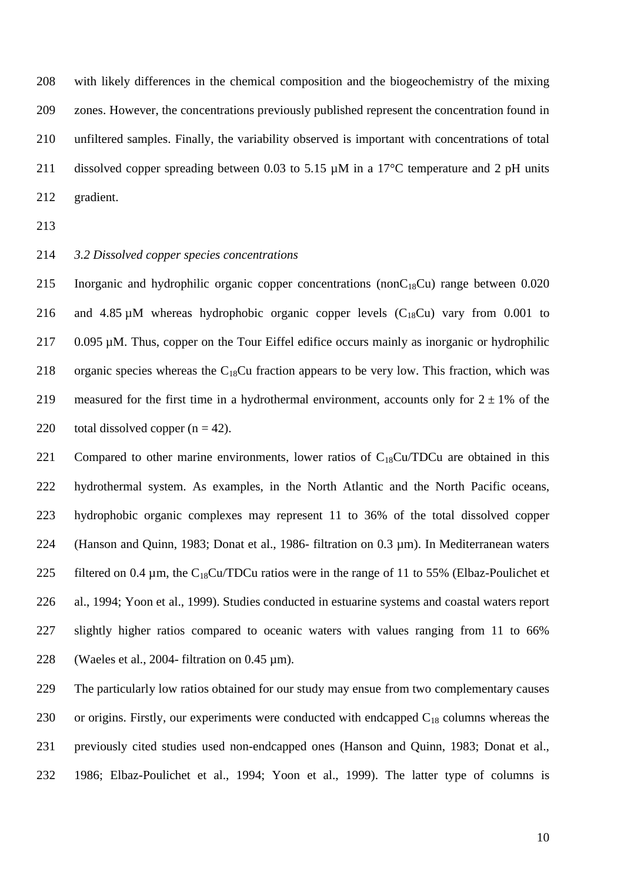with likely differences in the chemical composition and the biogeochemistry of the mixing zones. However, the concentrations previously published represent the concentration found in unfiltered samples. Finally, the variability observed is important with concentrations of total 211 dissolved copper spreading between 0.03 to 5.15  $\mu$ M in a 17<sup>o</sup>C temperature and 2 pH units gradient.

- 213
- 214 *3.2 Dissolved copper species concentrations*

215 Inorganic and hydrophilic organic copper concentrations (non $C_{18}Cu$ ) range between 0.020 216 and 4.85  $\mu$ M whereas hydrophobic organic copper levels (C<sub>18</sub>Cu) vary from 0.001 to 217 0.095  $\mu$ M. Thus, copper on the Tour Eiffel edifice occurs mainly as inorganic or hydrophilic 218 organic species whereas the  $C_{18}Cu$  fraction appears to be very low. This fraction, which was 219 measured for the first time in a hydrothermal environment, accounts only for  $2 \pm 1\%$  of the 220 total dissolved copper  $(n = 42)$ .

221 Compared to other marine environments, lower ratios of  $C_{18}Cu/TDCu$  are obtained in this 222 hydrothermal system. As examples, in the North Atlantic and the North Pacific oceans, 223 hydrophobic organic complexes may represent 11 to 36% of the total dissolved copper 224 (Hanson and Quinn, 1983; Donat et al., 1986- filtration on 0.3  $\mu$ m). In Mediterranean waters 225 filtered on 0.4  $\mu$ m, the C<sub>18</sub>Cu/TDCu ratios were in the range of 11 to 55% (Elbaz-Poulichet et 226 al., 1994; Yoon et al., 1999). Studies conducted in estuarine systems and coastal waters report 227 slightly higher ratios compared to oceanic waters with values ranging from 11 to 66% 228 (Waeles et al., 2004- filtration on 0.45  $\mu$ m).

 The particularly low ratios obtained for our study may ensue from two complementary causes 230 or origins. Firstly, our experiments were conducted with endcapped  $C_{18}$  columns whereas the previously cited studies used non-endcapped ones (Hanson and Quinn, 1983; Donat et al., 1986; Elbaz-Poulichet et al., 1994; Yoon et al., 1999). The latter type of columns is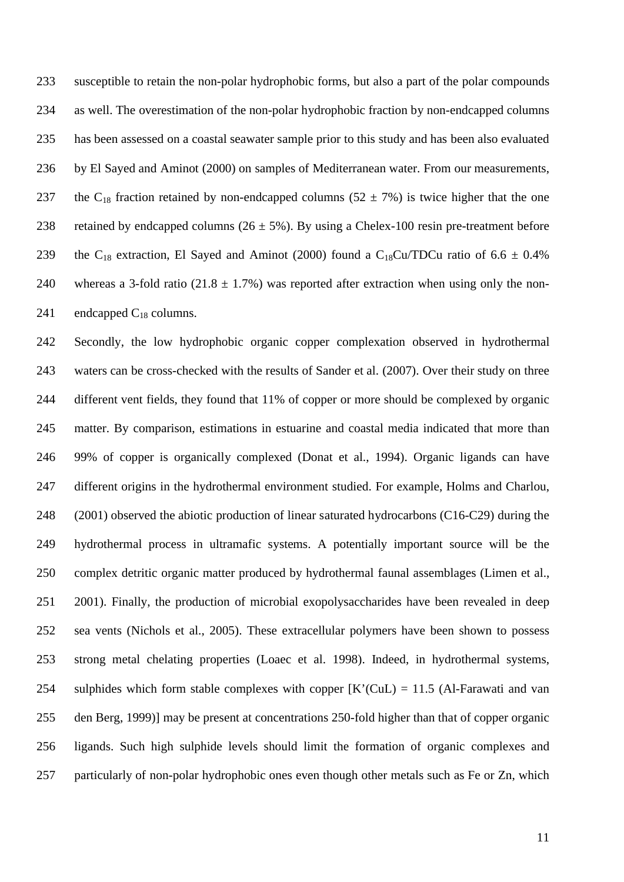susceptible to retain the non-polar hydrophobic forms, but also a part of the polar compounds as well. The overestimation of the non-polar hydrophobic fraction by non-endcapped columns has been assessed on a coastal seawater sample prior to this study and has been also evaluated by El Sayed and Aminot (2000) on samples of Mediterranean water. From our measurements, 237 the C<sub>18</sub> fraction retained by non-endcapped columns (52  $\pm$  7%) is twice higher that the one 238 retained by endcapped columns ( $26 \pm 5\%$ ). By using a Chelex-100 resin pre-treatment before 239 the C<sub>18</sub> extraction, El Sayed and Aminot (2000) found a C<sub>18</sub>Cu/TDCu ratio of 6.6  $\pm$  0.4% 240 whereas a 3-fold ratio (21.8  $\pm$  1.7%) was reported after extraction when using only the non-241 endcapped  $C_{18}$  columns.

 Secondly, the low hydrophobic organic copper complexation observed in hydrothermal waters can be cross-checked with the results of Sander et al. (2007). Over their study on three different vent fields, they found that 11% of copper or more should be complexed by organic matter. By comparison, estimations in estuarine and coastal media indicated that more than 99% of copper is organically complexed (Donat et al., 1994). Organic ligands can have different origins in the hydrothermal environment studied. For example, Holms and Charlou, (2001) observed the abiotic production of linear saturated hydrocarbons (C16-C29) during the hydrothermal process in ultramafic systems. A potentially important source will be the complex detritic organic matter produced by hydrothermal faunal assemblages (Limen et al., 2001). Finally, the production of microbial exopolysaccharides have been revealed in deep sea vents (Nichols et al., 2005). These extracellular polymers have been shown to possess strong metal chelating properties (Loaec et al. 1998). Indeed, in hydrothermal systems, 254 sulphides which form stable complexes with copper  $[K'(C, L) = 11.5$  (Al-Farawati and van den Berg, 1999)] may be present at concentrations 250-fold higher than that of copper organic ligands. Such high sulphide levels should limit the formation of organic complexes and particularly of non-polar hydrophobic ones even though other metals such as Fe or Zn, which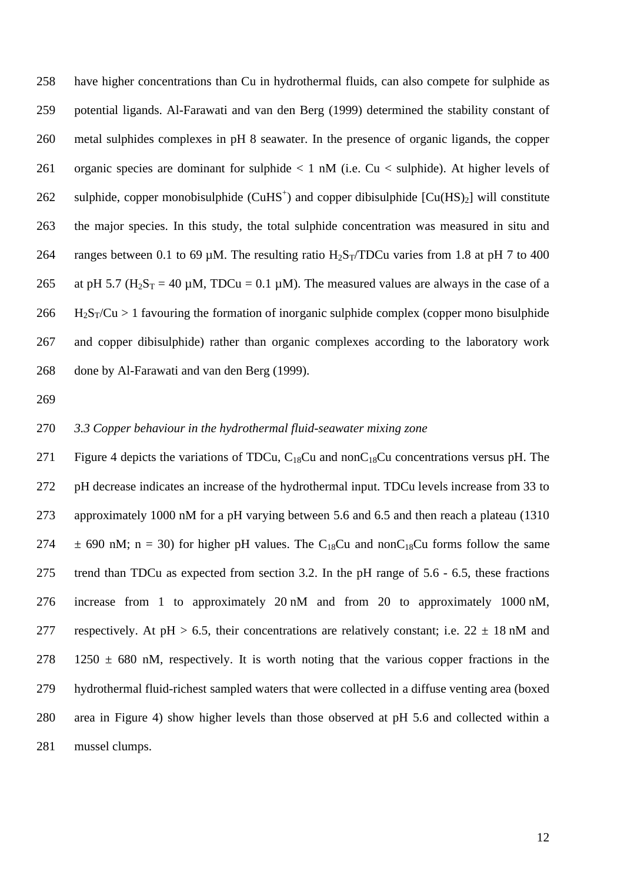have higher concentrations than Cu in hydrothermal fluids, can also compete for sulphide as potential ligands. Al-Farawati and van den Berg (1999) determined the stability constant of metal sulphides complexes in pH 8 seawater. In the presence of organic ligands, the copper organic species are dominant for sulphide < 1 nM (i.e. Cu < sulphide). At higher levels of 262 sulphide, copper monobisulphide (CuHS<sup>+</sup>) and copper dibisulphide  $[Cu(HS)_2]$  will constitute the major species. In this study, the total sulphide concentration was measured in situ and 264 ranges between 0.1 to 69  $\mu$ M. The resulting ratio H<sub>2</sub>S<sub>T</sub>/TDCu varies from 1.8 at pH 7 to 400 265 at pH 5.7 ( $H_2S_T = 40 \mu M$ , TDCu = 0.1  $\mu$ M). The measured values are always in the case of a H<sub>2</sub>S<sub>T</sub>/Cu > 1 favouring the formation of inorganic sulphide complex (copper mono bisulphide and copper dibisulphide) rather than organic complexes according to the laboratory work done by Al-Farawati and van den Berg (1999).

#### *3.3 Copper behaviour in the hydrothermal fluid-seawater mixing zone*

271 Figure 4 depicts the variations of TDCu,  $C_{18}Cu$  and non $C_{18}Cu$  concentrations versus pH. The pH decrease indicates an increase of the hydrothermal input. TDCu levels increase from 33 to approximately 1000 nM for a pH varying between 5.6 and 6.5 and then reach a plateau (1310  $\pm$  690 nM; n = 30) for higher pH values. The C<sub>18</sub>Cu and nonC<sub>18</sub>Cu forms follow the same trend than TDCu as expected from section 3.2. In the pH range of 5.6 - 6.5, these fractions increase from 1 to approximately 20 nM and from 20 to approximately 1000 nM, 277 respectively. At pH > 6.5, their concentrations are relatively constant; i.e.  $22 \pm 18$  nM and 278 1250  $\pm$  680 nM, respectively. It is worth noting that the various copper fractions in the hydrothermal fluid-richest sampled waters that were collected in a diffuse venting area (boxed area in Figure 4) show higher levels than those observed at pH 5.6 and collected within a mussel clumps.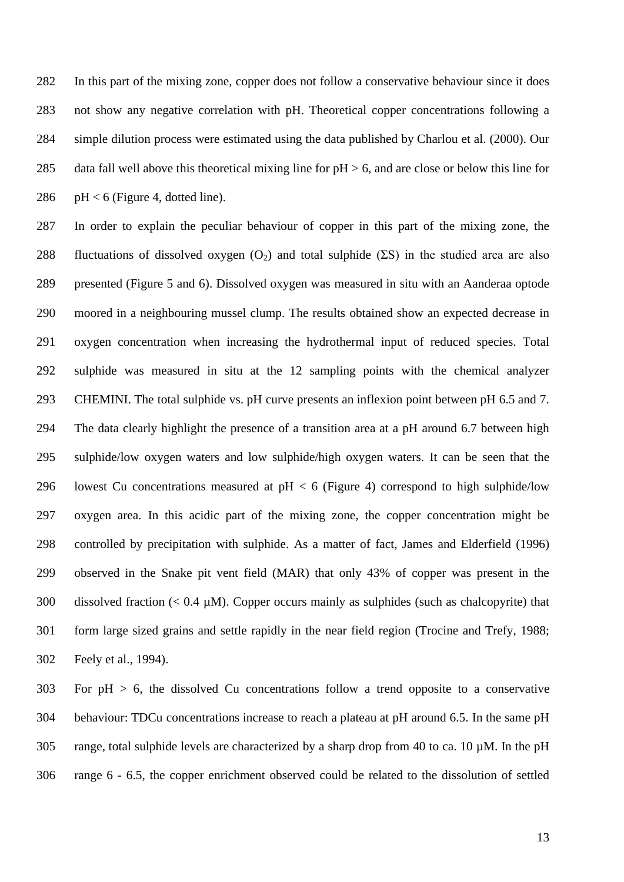In this part of the mixing zone, copper does not follow a conservative behaviour since it does not show any negative correlation with pH. Theoretical copper concentrations following a simple dilution process were estimated using the data published by Charlou et al. (2000). Our 285 data fall well above this theoretical mixing line for  $pH > 6$ , and are close or below this line for 286 pH  $<$  6 (Figure 4, dotted line).

 In order to explain the peculiar behaviour of copper in this part of the mixing zone, the 288 fluctuations of dissolved oxygen  $(O_2)$  and total sulphide (ΣS) in the studied area are also presented (Figure 5 and 6). Dissolved oxygen was measured in situ with an Aanderaa optode moored in a neighbouring mussel clump. The results obtained show an expected decrease in oxygen concentration when increasing the hydrothermal input of reduced species. Total sulphide was measured in situ at the 12 sampling points with the chemical analyzer CHEMINI. The total sulphide vs. pH curve presents an inflexion point between pH 6.5 and 7. The data clearly highlight the presence of a transition area at a pH around 6.7 between high sulphide/low oxygen waters and low sulphide/high oxygen waters. It can be seen that the 296 lowest Cu concentrations measured at  $pH < 6$  (Figure 4) correspond to high sulphide/low oxygen area. In this acidic part of the mixing zone, the copper concentration might be controlled by precipitation with sulphide. As a matter of fact, James and Elderfield (1996) observed in the Snake pit vent field (MAR) that only 43% of copper was present in the 300 dissolved fraction  $(< 0.4 \mu M$ ). Copper occurs mainly as sulphides (such as chalcopyrite) that form large sized grains and settle rapidly in the near field region (Trocine and Trefy, 1988; Feely et al., 1994).

 For pH > 6, the dissolved Cu concentrations follow a trend opposite to a conservative behaviour: TDCu concentrations increase to reach a plateau at pH around 6.5. In the same pH 305 range, total sulphide levels are characterized by a sharp drop from 40 to ca. 10  $\mu$ M. In the pH range 6 - 6.5, the copper enrichment observed could be related to the dissolution of settled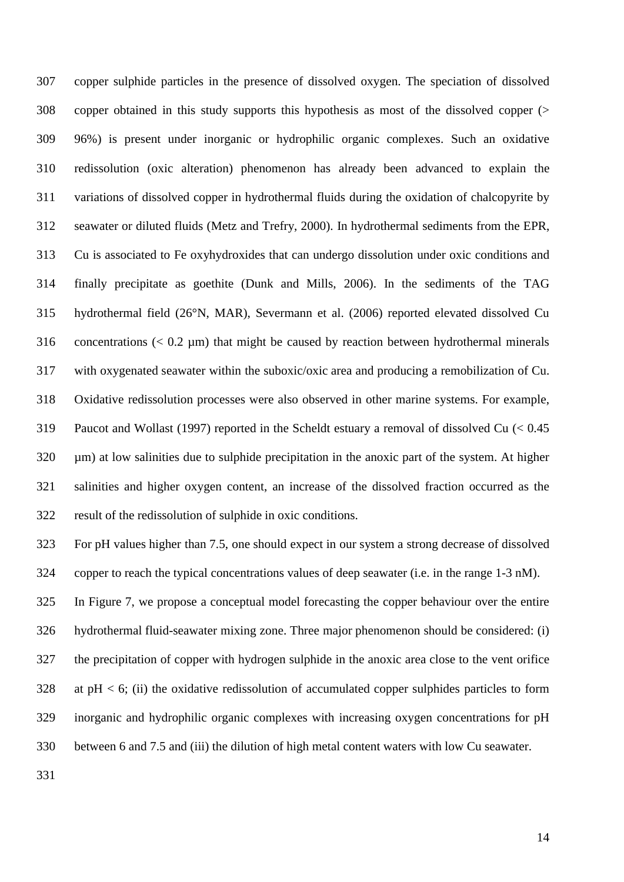copper sulphide particles in the presence of dissolved oxygen. The speciation of dissolved copper obtained in this study supports this hypothesis as most of the dissolved copper (> 96%) is present under inorganic or hydrophilic organic complexes. Such an oxidative redissolution (oxic alteration) phenomenon has already been advanced to explain the variations of dissolved copper in hydrothermal fluids during the oxidation of chalcopyrite by seawater or diluted fluids (Metz and Trefry, 2000). In hydrothermal sediments from the EPR, Cu is associated to Fe oxyhydroxides that can undergo dissolution under oxic conditions and finally precipitate as goethite (Dunk and Mills, 2006). In the sediments of the TAG hydrothermal field (26°N, MAR), Severmann et al. (2006) reported elevated dissolved Cu 316 concentrations  $(< 0.2 \mu m$ ) that might be caused by reaction between hydrothermal minerals with oxygenated seawater within the suboxic/oxic area and producing a remobilization of Cu. Oxidative redissolution processes were also observed in other marine systems. For example, Paucot and Wollast (1997) reported in the Scheldt estuary a removal of dissolved Cu (< 0.45 µm) at low salinities due to sulphide precipitation in the anoxic part of the system. At higher salinities and higher oxygen content, an increase of the dissolved fraction occurred as the result of the redissolution of sulphide in oxic conditions.

 For pH values higher than 7.5, one should expect in our system a strong decrease of dissolved copper to reach the typical concentrations values of deep seawater (i.e. in the range 1-3 nM).

 In Figure 7, we propose a conceptual model forecasting the copper behaviour over the entire hydrothermal fluid-seawater mixing zone. Three major phenomenon should be considered: (i) the precipitation of copper with hydrogen sulphide in the anoxic area close to the vent orifice at pH < 6; (ii) the oxidative redissolution of accumulated copper sulphides particles to form inorganic and hydrophilic organic complexes with increasing oxygen concentrations for pH between 6 and 7.5 and (iii) the dilution of high metal content waters with low Cu seawater.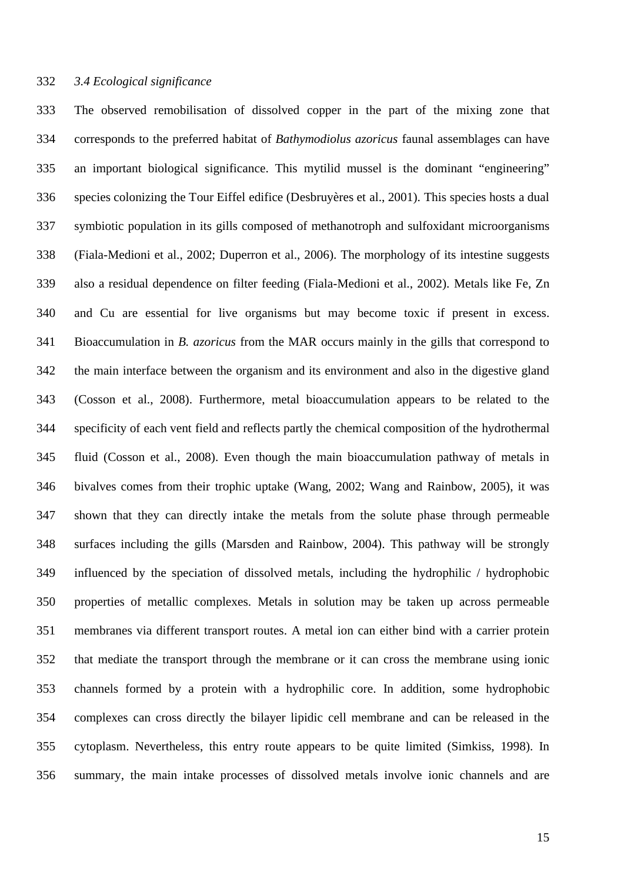## *3.4 Ecological significance*

 The observed remobilisation of dissolved copper in the part of the mixing zone that corresponds to the preferred habitat of *Bathymodiolus azoricus* faunal assemblages can have an important biological significance. This mytilid mussel is the dominant "engineering" species colonizing the Tour Eiffel edifice (Desbruyères et al., 2001). This species hosts a dual symbiotic population in its gills composed of methanotroph and sulfoxidant microorganisms (Fiala-Medioni et al., 2002; Duperron et al., 2006). The morphology of its intestine suggests also a residual dependence on filter feeding (Fiala-Medioni et al., 2002). Metals like Fe, Zn and Cu are essential for live organisms but may become toxic if present in excess. Bioaccumulation in *B. azoricus* from the MAR occurs mainly in the gills that correspond to the main interface between the organism and its environment and also in the digestive gland (Cosson et al., 2008). Furthermore, metal bioaccumulation appears to be related to the specificity of each vent field and reflects partly the chemical composition of the hydrothermal fluid (Cosson et al., 2008). Even though the main bioaccumulation pathway of metals in bivalves comes from their trophic uptake (Wang, 2002; Wang and Rainbow, 2005), it was shown that they can directly intake the metals from the solute phase through permeable surfaces including the gills (Marsden and Rainbow, 2004). This pathway will be strongly influenced by the speciation of dissolved metals, including the hydrophilic / hydrophobic properties of metallic complexes. Metals in solution may be taken up across permeable membranes via different transport routes. A metal ion can either bind with a carrier protein that mediate the transport through the membrane or it can cross the membrane using ionic channels formed by a protein with a hydrophilic core. In addition, some hydrophobic complexes can cross directly the bilayer lipidic cell membrane and can be released in the cytoplasm. Nevertheless, this entry route appears to be quite limited (Simkiss, 1998). In summary, the main intake processes of dissolved metals involve ionic channels and are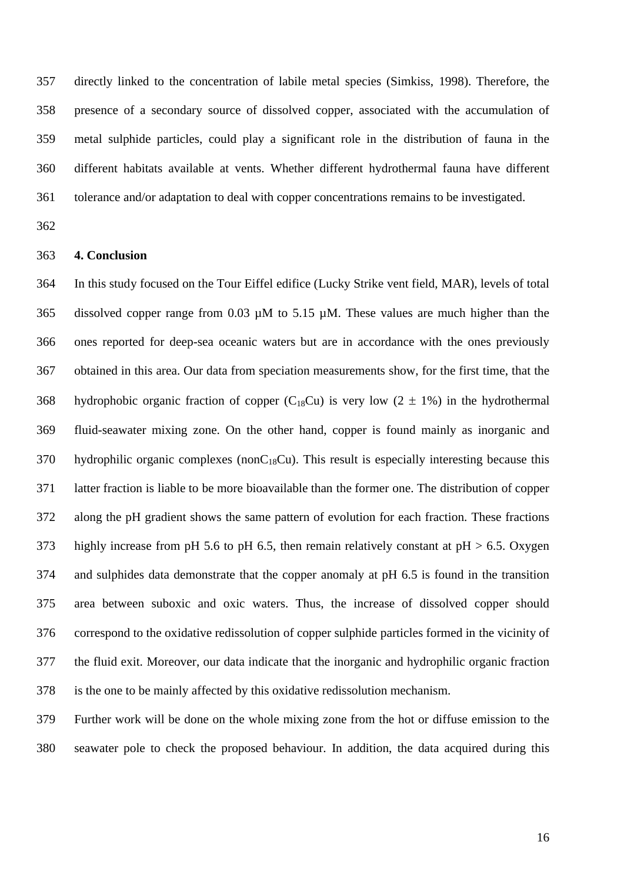directly linked to the concentration of labile metal species (Simkiss, 1998). Therefore, the presence of a secondary source of dissolved copper, associated with the accumulation of metal sulphide particles, could play a significant role in the distribution of fauna in the different habitats available at vents. Whether different hydrothermal fauna have different tolerance and/or adaptation to deal with copper concentrations remains to be investigated.

#### **4. Conclusion**

 In this study focused on the Tour Eiffel edifice (Lucky Strike vent field, MAR), levels of total dissolved copper range from 0.03 µM to 5.15 µM. These values are much higher than the ones reported for deep-sea oceanic waters but are in accordance with the ones previously obtained in this area. Our data from speciation measurements show, for the first time, that the 368 hydrophobic organic fraction of copper  $(C_{18}Cu)$  is very low  $(2 \pm 1\%)$  in the hydrothermal fluid-seawater mixing zone. On the other hand, copper is found mainly as inorganic and hydrophilic organic complexes (nonC<sub>18</sub>Cu). This result is especially interesting because this latter fraction is liable to be more bioavailable than the former one. The distribution of copper along the pH gradient shows the same pattern of evolution for each fraction. These fractions 373 highly increase from pH 5.6 to pH 6.5, then remain relatively constant at  $pH > 6.5$ . Oxygen and sulphides data demonstrate that the copper anomaly at pH 6.5 is found in the transition area between suboxic and oxic waters. Thus, the increase of dissolved copper should correspond to the oxidative redissolution of copper sulphide particles formed in the vicinity of the fluid exit. Moreover, our data indicate that the inorganic and hydrophilic organic fraction is the one to be mainly affected by this oxidative redissolution mechanism.

 Further work will be done on the whole mixing zone from the hot or diffuse emission to the seawater pole to check the proposed behaviour. In addition, the data acquired during this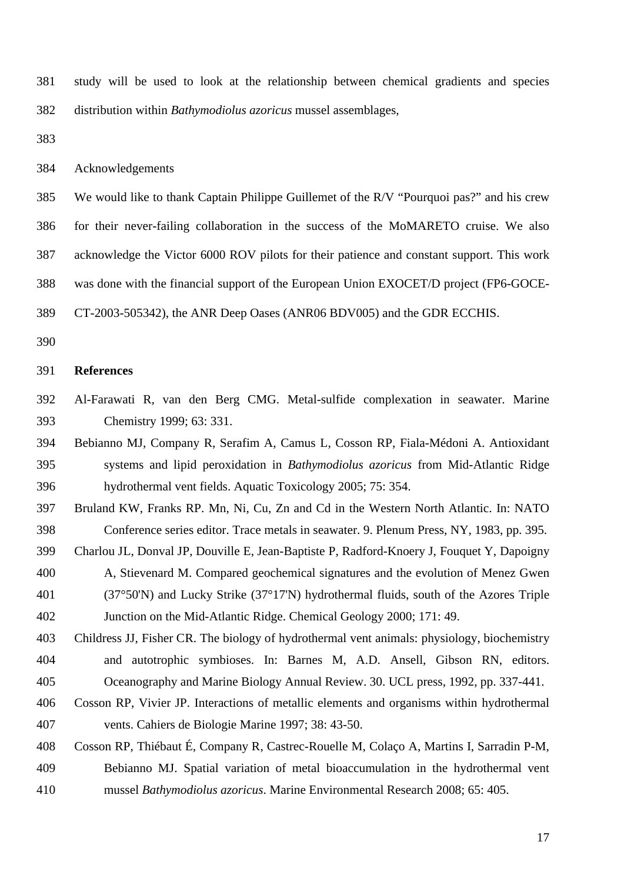study will be used to look at the relationship between chemical gradients and species distribution within *Bathymodiolus azoricus* mussel assemblages,

Acknowledgements

 We would like to thank Captain Philippe Guillemet of the R/V "Pourquoi pas?" and his crew for their never-failing collaboration in the success of the MoMARETO cruise. We also acknowledge the Victor 6000 ROV pilots for their patience and constant support. This work was done with the financial support of the European Union EXOCET/D project (FP6-GOCE-

- CT-2003-505342), the ANR Deep Oases (ANR06 BDV005) and the GDR ECCHIS.
- 

#### **References**

- Al-Farawati R, van den Berg CMG. Metal-sulfide complexation in seawater. Marine Chemistry 1999; 63: 331.
- Bebianno MJ, Company R, Serafim A, Camus L, Cosson RP, Fiala-Médoni A. Antioxidant systems and lipid peroxidation in *Bathymodiolus azoricus* from Mid-Atlantic Ridge hydrothermal vent fields. Aquatic Toxicology 2005; 75: 354.
- Bruland KW, Franks RP. Mn, Ni, Cu, Zn and Cd in the Western North Atlantic. In: NATO Conference series editor. Trace metals in seawater. 9. Plenum Press, NY, 1983, pp. 395.
- Charlou JL, Donval JP, Douville E, Jean-Baptiste P, Radford-Knoery J, Fouquet Y, Dapoigny A, Stievenard M. Compared geochemical signatures and the evolution of Menez Gwen (37°50'N) and Lucky Strike (37°17'N) hydrothermal fluids, south of the Azores Triple Junction on the Mid-Atlantic Ridge. Chemical Geology 2000; 171: 49.
- Childress JJ, Fisher CR. The biology of hydrothermal vent animals: physiology, biochemistry and autotrophic symbioses. In: Barnes M, A.D. Ansell, Gibson RN, editors. Oceanography and Marine Biology Annual Review. 30. UCL press, 1992, pp. 337-441.
- Cosson RP, Vivier JP. Interactions of metallic elements and organisms within hydrothermal vents. Cahiers de Biologie Marine 1997; 38: 43-50.

 Cosson RP, Thiébaut É, Company R, Castrec-Rouelle M, Colaço A, Martins I, Sarradin P-M, Bebianno MJ. Spatial variation of metal bioaccumulation in the hydrothermal vent mussel *Bathymodiolus azoricus*. Marine Environmental Research 2008; 65: 405.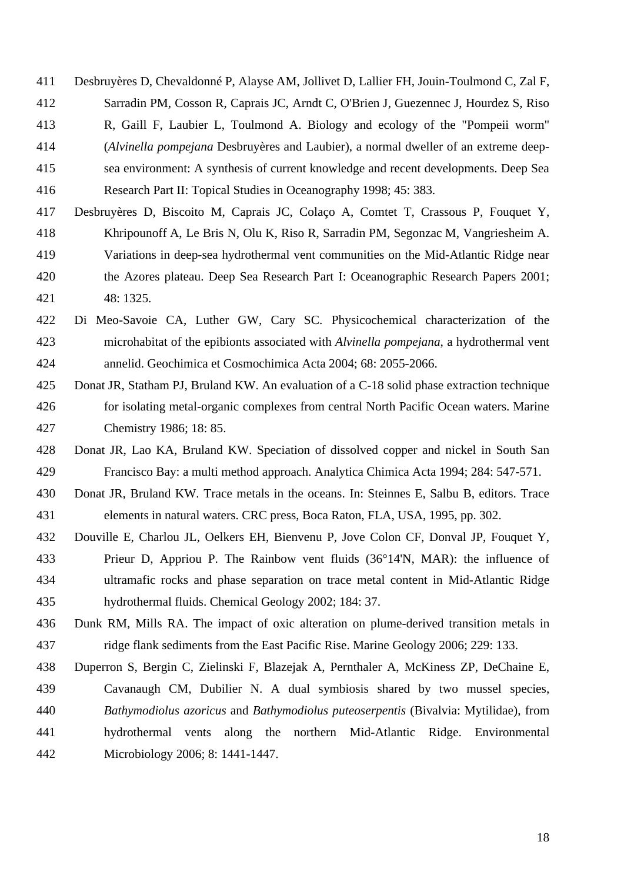Desbruyères D, Chevaldonné P, Alayse AM, Jollivet D, Lallier FH, Jouin-Toulmond C, Zal F, Sarradin PM, Cosson R, Caprais JC, Arndt C, O'Brien J, Guezennec J, Hourdez S, Riso

- R, Gaill F, Laubier L, Toulmond A. Biology and ecology of the "Pompeii worm"
- (*Alvinella pompejana* Desbruyères and Laubier), a normal dweller of an extreme deep-
- 
- sea environment: A synthesis of current knowledge and recent developments. Deep Sea

```
416 Research Part II: Topical Studies in Oceanography 1998; 45: 383.
```
- Desbruyères D, Biscoito M, Caprais JC, Colaço A, Comtet T, Crassous P, Fouquet Y, Khripounoff A, Le Bris N, Olu K, Riso R, Sarradin PM, Segonzac M, Vangriesheim A. Variations in deep-sea hydrothermal vent communities on the Mid-Atlantic Ridge near the Azores plateau. Deep Sea Research Part I: Oceanographic Research Papers 2001; 48: 1325.
- Di Meo-Savoie CA, Luther GW, Cary SC. Physicochemical characterization of the microhabitat of the epibionts associated with *Alvinella pompejana*, a hydrothermal vent annelid. Geochimica et Cosmochimica Acta 2004; 68: 2055-2066.
- Donat JR, Statham PJ, Bruland KW. An evaluation of a C-18 solid phase extraction technique for isolating metal-organic complexes from central North Pacific Ocean waters. Marine Chemistry 1986; 18: 85.
- Donat JR, Lao KA, Bruland KW. Speciation of dissolved copper and nickel in South San Francisco Bay: a multi method approach. Analytica Chimica Acta 1994; 284: 547-571.
- Donat JR, Bruland KW. Trace metals in the oceans. In: Steinnes E, Salbu B, editors. Trace elements in natural waters. CRC press, Boca Raton, FLA, USA, 1995, pp. 302.
- Douville E, Charlou JL, Oelkers EH, Bienvenu P, Jove Colon CF, Donval JP, Fouquet Y, Prieur D, Appriou P. The Rainbow vent fluids (36°14'N, MAR): the influence of ultramafic rocks and phase separation on trace metal content in Mid-Atlantic Ridge hydrothermal fluids. Chemical Geology 2002; 184: 37.
- Dunk RM, Mills RA. The impact of oxic alteration on plume-derived transition metals in ridge flank sediments from the East Pacific Rise. Marine Geology 2006; 229: 133.
- Duperron S, Bergin C, Zielinski F, Blazejak A, Pernthaler A, McKiness ZP, DeChaine E, Cavanaugh CM, Dubilier N. A dual symbiosis shared by two mussel species, *Bathymodiolus azoricus* and *Bathymodiolus puteoserpentis* (Bivalvia: Mytilidae), from hydrothermal vents along the northern Mid-Atlantic Ridge. Environmental Microbiology 2006; 8: 1441-1447.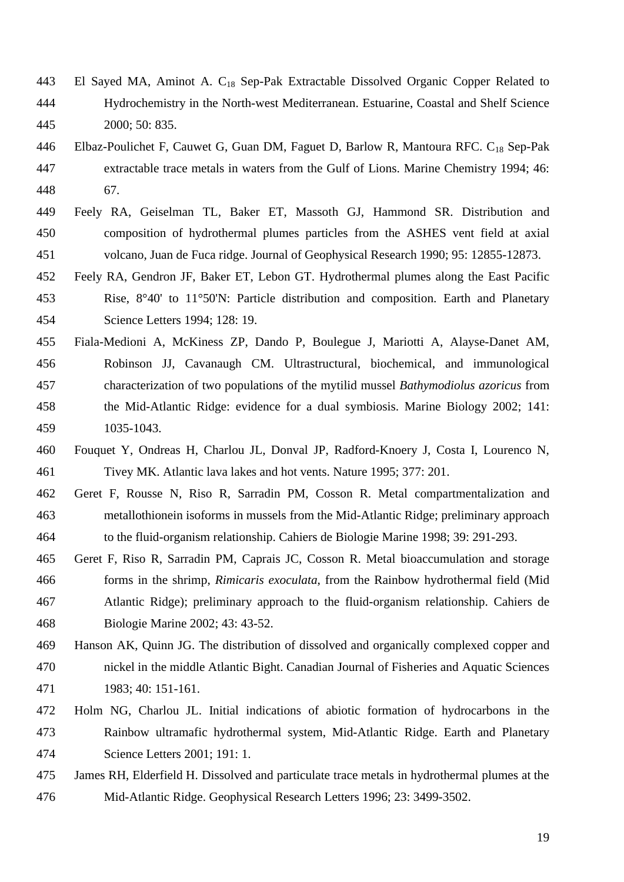- El Sayed MA, Aminot A. C18 Sep-Pak Extractable Dissolved Organic Copper Related to Hydrochemistry in the North-west Mediterranean. Estuarine, Coastal and Shelf Science 2000; 50: 835.
- 446 Elbaz-Poulichet F, Cauwet G, Guan DM, Faguet D, Barlow R, Mantoura RFC. C<sub>18</sub> Sep-Pak extractable trace metals in waters from the Gulf of Lions. Marine Chemistry 1994; 46: 67.
- Feely RA, Geiselman TL, Baker ET, Massoth GJ, Hammond SR. Distribution and composition of hydrothermal plumes particles from the ASHES vent field at axial volcano, Juan de Fuca ridge. Journal of Geophysical Research 1990; 95: 12855-12873.
- Feely RA, Gendron JF, Baker ET, Lebon GT. Hydrothermal plumes along the East Pacific Rise, 8°40' to 11°50'N: Particle distribution and composition. Earth and Planetary Science Letters 1994; 128: 19.
- Fiala-Medioni A, McKiness ZP, Dando P, Boulegue J, Mariotti A, Alayse-Danet AM, Robinson JJ, Cavanaugh CM. Ultrastructural, biochemical, and immunological characterization of two populations of the mytilid mussel *Bathymodiolus azoricus* from the Mid-Atlantic Ridge: evidence for a dual symbiosis. Marine Biology 2002; 141: 1035-1043.
- Fouquet Y, Ondreas H, Charlou JL, Donval JP, Radford-Knoery J, Costa I, Lourenco N, Tivey MK. Atlantic lava lakes and hot vents. Nature 1995; 377: 201.
- Geret F, Rousse N, Riso R, Sarradin PM, Cosson R. Metal compartmentalization and metallothionein isoforms in mussels from the Mid-Atlantic Ridge; preliminary approach to the fluid-organism relationship. Cahiers de Biologie Marine 1998; 39: 291-293.
- Geret F, Riso R, Sarradin PM, Caprais JC, Cosson R. Metal bioaccumulation and storage forms in the shrimp, *Rimicaris exoculata*, from the Rainbow hydrothermal field (Mid Atlantic Ridge); preliminary approach to the fluid-organism relationship. Cahiers de Biologie Marine 2002; 43: 43-52.
- Hanson AK, Quinn JG. The distribution of dissolved and organically complexed copper and nickel in the middle Atlantic Bight. Canadian Journal of Fisheries and Aquatic Sciences 1983; 40: 151-161.
- Holm NG, Charlou JL. Initial indications of abiotic formation of hydrocarbons in the Rainbow ultramafic hydrothermal system, Mid-Atlantic Ridge. Earth and Planetary Science Letters 2001; 191: 1.
- James RH, Elderfield H. Dissolved and particulate trace metals in hydrothermal plumes at the Mid-Atlantic Ridge. Geophysical Research Letters 1996; 23: 3499-3502.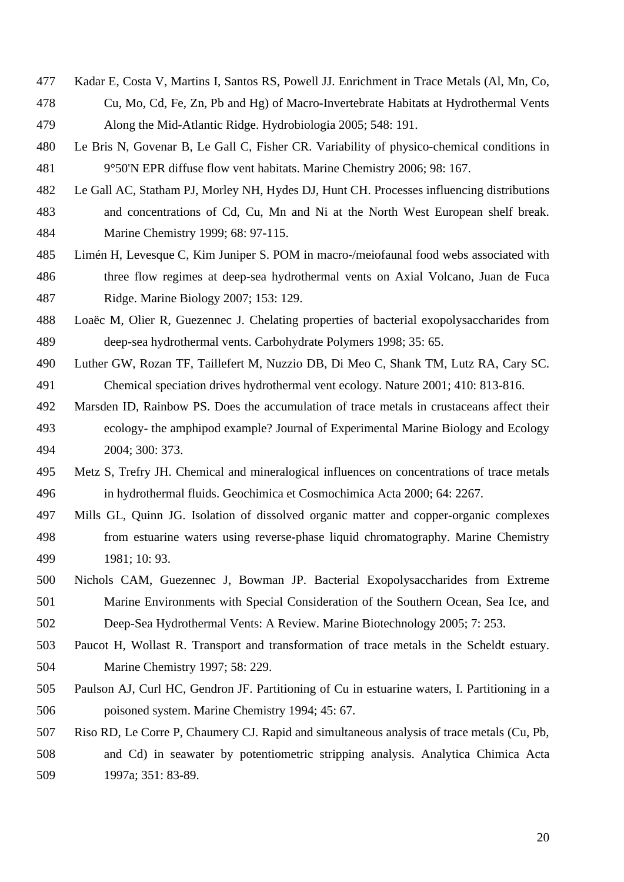- Kadar E, Costa V, Martins I, Santos RS, Powell JJ. Enrichment in Trace Metals (Al, Mn, Co,
- Cu, Mo, Cd, Fe, Zn, Pb and Hg) of Macro-Invertebrate Habitats at Hydrothermal Vents Along the Mid-Atlantic Ridge. Hydrobiologia 2005; 548: 191.
- Le Bris N, Govenar B, Le Gall C, Fisher CR. Variability of physico-chemical conditions in 9°50'N EPR diffuse flow vent habitats. Marine Chemistry 2006; 98: 167.
- Le Gall AC, Statham PJ, Morley NH, Hydes DJ, Hunt CH. Processes influencing distributions and concentrations of Cd, Cu, Mn and Ni at the North West European shelf break. Marine Chemistry 1999; 68: 97-115.
- Limén H, Levesque C, Kim Juniper S. POM in macro-/meiofaunal food webs associated with three flow regimes at deep-sea hydrothermal vents on Axial Volcano, Juan de Fuca Ridge. Marine Biology 2007; 153: 129.
- Loaëc M, Olier R, Guezennec J. Chelating properties of bacterial exopolysaccharides from deep-sea hydrothermal vents. Carbohydrate Polymers 1998; 35: 65.
- Luther GW, Rozan TF, Taillefert M, Nuzzio DB, Di Meo C, Shank TM, Lutz RA, Cary SC. Chemical speciation drives hydrothermal vent ecology. Nature 2001; 410: 813-816.
- Marsden ID, Rainbow PS. Does the accumulation of trace metals in crustaceans affect their ecology- the amphipod example? Journal of Experimental Marine Biology and Ecology 2004; 300: 373.
- Metz S, Trefry JH. Chemical and mineralogical influences on concentrations of trace metals in hydrothermal fluids. Geochimica et Cosmochimica Acta 2000; 64: 2267.
- Mills GL, Quinn JG. Isolation of dissolved organic matter and copper-organic complexes from estuarine waters using reverse-phase liquid chromatography. Marine Chemistry 1981; 10: 93.
- Nichols CAM, Guezennec J, Bowman JP. Bacterial Exopolysaccharides from Extreme Marine Environments with Special Consideration of the Southern Ocean, Sea Ice, and Deep-Sea Hydrothermal Vents: A Review. Marine Biotechnology 2005; 7: 253.
- Paucot H, Wollast R. Transport and transformation of trace metals in the Scheldt estuary. Marine Chemistry 1997; 58: 229.
- Paulson AJ, Curl HC, Gendron JF. Partitioning of Cu in estuarine waters, I. Partitioning in a poisoned system. Marine Chemistry 1994; 45: 67.
- Riso RD, Le Corre P, Chaumery CJ. Rapid and simultaneous analysis of trace metals (Cu, Pb, and Cd) in seawater by potentiometric stripping analysis. Analytica Chimica Acta 1997a; 351: 83-89.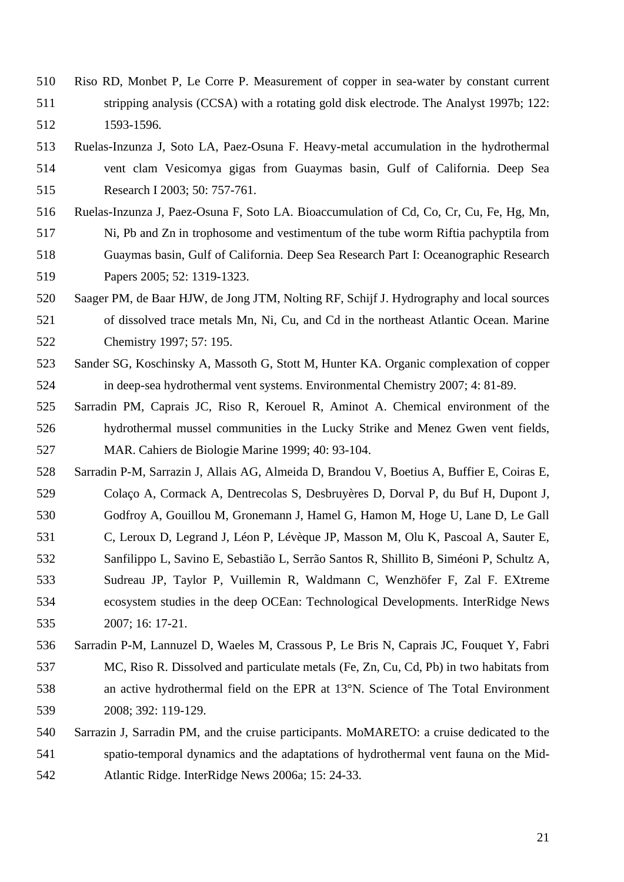Riso RD, Monbet P, Le Corre P. Measurement of copper in sea-water by constant current stripping analysis (CCSA) with a rotating gold disk electrode. The Analyst 1997b; 122: 1593-1596.

- Ruelas-Inzunza J, Soto LA, Paez-Osuna F. Heavy-metal accumulation in the hydrothermal vent clam Vesicomya gigas from Guaymas basin, Gulf of California. Deep Sea Research I 2003; 50: 757-761.
- Ruelas-Inzunza J, Paez-Osuna F, Soto LA. Bioaccumulation of Cd, Co, Cr, Cu, Fe, Hg, Mn,
- Ni, Pb and Zn in trophosome and vestimentum of the tube worm Riftia pachyptila from
- Guaymas basin, Gulf of California. Deep Sea Research Part I: Oceanographic Research Papers 2005; 52: 1319-1323.
- Saager PM, de Baar HJW, de Jong JTM, Nolting RF, Schijf J. Hydrography and local sources of dissolved trace metals Mn, Ni, Cu, and Cd in the northeast Atlantic Ocean. Marine Chemistry 1997; 57: 195.
- Sander SG, Koschinsky A, Massoth G, Stott M, Hunter KA. Organic complexation of copper in deep-sea hydrothermal vent systems. Environmental Chemistry 2007; 4: 81-89.
- Sarradin PM, Caprais JC, Riso R, Kerouel R, Aminot A. Chemical environment of the hydrothermal mussel communities in the Lucky Strike and Menez Gwen vent fields, MAR. Cahiers de Biologie Marine 1999; 40: 93-104.
- Sarradin P-M, Sarrazin J, Allais AG, Almeida D, Brandou V, Boetius A, Buffier E, Coiras E, Colaço A, Cormack A, Dentrecolas S, Desbruyères D, Dorval P, du Buf H, Dupont J,
- Godfroy A, Gouillou M, Gronemann J, Hamel G, Hamon M, Hoge U, Lane D, Le Gall
- C, Leroux D, Legrand J, Léon P, Lévèque JP, Masson M, Olu K, Pascoal A, Sauter E,
- Sanfilippo L, Savino E, Sebastião L, Serrão Santos R, Shillito B, Siméoni P, Schultz A,
- Sudreau JP, Taylor P, Vuillemin R, Waldmann C, Wenzhöfer F, Zal F. EXtreme ecosystem studies in the deep OCEan: Technological Developments. InterRidge News 2007; 16: 17-21.
- Sarradin P-M, Lannuzel D, Waeles M, Crassous P, Le Bris N, Caprais JC, Fouquet Y, Fabri MC, Riso R. Dissolved and particulate metals (Fe, Zn, Cu, Cd, Pb) in two habitats from an active hydrothermal field on the EPR at 13°N. Science of The Total Environment 2008; 392: 119-129.
- Sarrazin J, Sarradin PM, and the cruise participants. MoMARETO: a cruise dedicated to the spatio-temporal dynamics and the adaptations of hydrothermal vent fauna on the Mid-Atlantic Ridge. InterRidge News 2006a; 15: 24-33.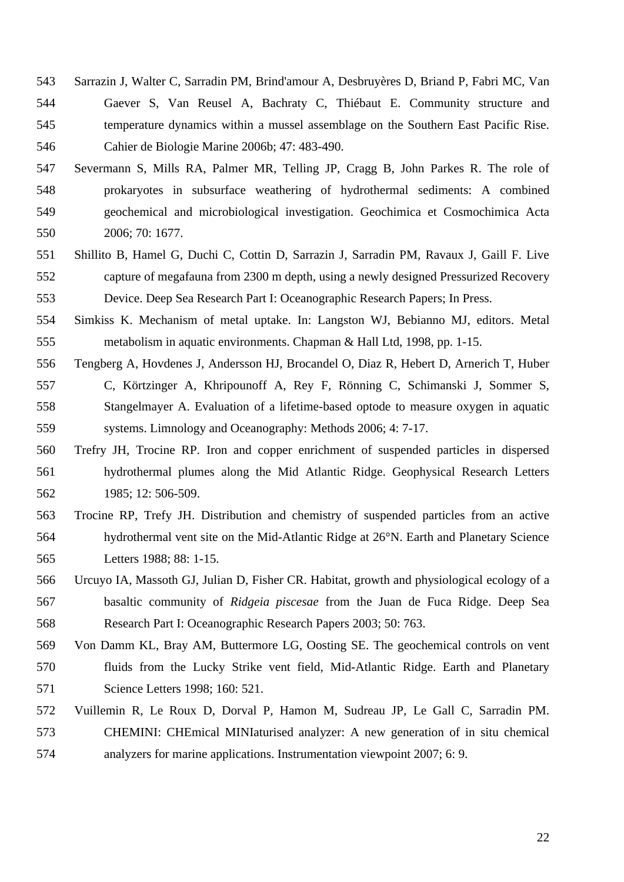- Sarrazin J, Walter C, Sarradin PM, Brind'amour A, Desbruyères D, Briand P, Fabri MC, Van Gaever S, Van Reusel A, Bachraty C, Thiébaut E. Community structure and temperature dynamics within a mussel assemblage on the Southern East Pacific Rise. Cahier de Biologie Marine 2006b; 47: 483-490.
- Severmann S, Mills RA, Palmer MR, Telling JP, Cragg B, John Parkes R. The role of prokaryotes in subsurface weathering of hydrothermal sediments: A combined geochemical and microbiological investigation. Geochimica et Cosmochimica Acta 2006; 70: 1677.
- Shillito B, Hamel G, Duchi C, Cottin D, Sarrazin J, Sarradin PM, Ravaux J, Gaill F. Live capture of megafauna from 2300 m depth, using a newly designed Pressurized Recovery Device. Deep Sea Research Part I: Oceanographic Research Papers; In Press.
- Simkiss K. Mechanism of metal uptake. In: Langston WJ, Bebianno MJ, editors. Metal metabolism in aquatic environments. Chapman & Hall Ltd, 1998, pp. 1-15.
- Tengberg A, Hovdenes J, Andersson HJ, Brocandel O, Diaz R, Hebert D, Arnerich T, Huber C, Körtzinger A, Khripounoff A, Rey F, Rönning C, Schimanski J, Sommer S, Stangelmayer A. Evaluation of a lifetime-based optode to measure oxygen in aquatic systems. Limnology and Oceanography: Methods 2006; 4: 7-17.
- Trefry JH, Trocine RP. Iron and copper enrichment of suspended particles in dispersed hydrothermal plumes along the Mid Atlantic Ridge. Geophysical Research Letters 1985; 12: 506-509.
- Trocine RP, Trefy JH. Distribution and chemistry of suspended particles from an active hydrothermal vent site on the Mid-Atlantic Ridge at 26°N. Earth and Planetary Science Letters 1988; 88: 1-15.
- Urcuyo IA, Massoth GJ, Julian D, Fisher CR. Habitat, growth and physiological ecology of a basaltic community of *Ridgeia piscesae* from the Juan de Fuca Ridge. Deep Sea Research Part I: Oceanographic Research Papers 2003; 50: 763.
- Von Damm KL, Bray AM, Buttermore LG, Oosting SE. The geochemical controls on vent fluids from the Lucky Strike vent field, Mid-Atlantic Ridge. Earth and Planetary Science Letters 1998; 160: 521.
- Vuillemin R, Le Roux D, Dorval P, Hamon M, Sudreau JP, Le Gall C, Sarradin PM. CHEMINI: CHEmical MINIaturised analyzer: A new generation of in situ chemical analyzers for marine applications. Instrumentation viewpoint 2007; 6: 9.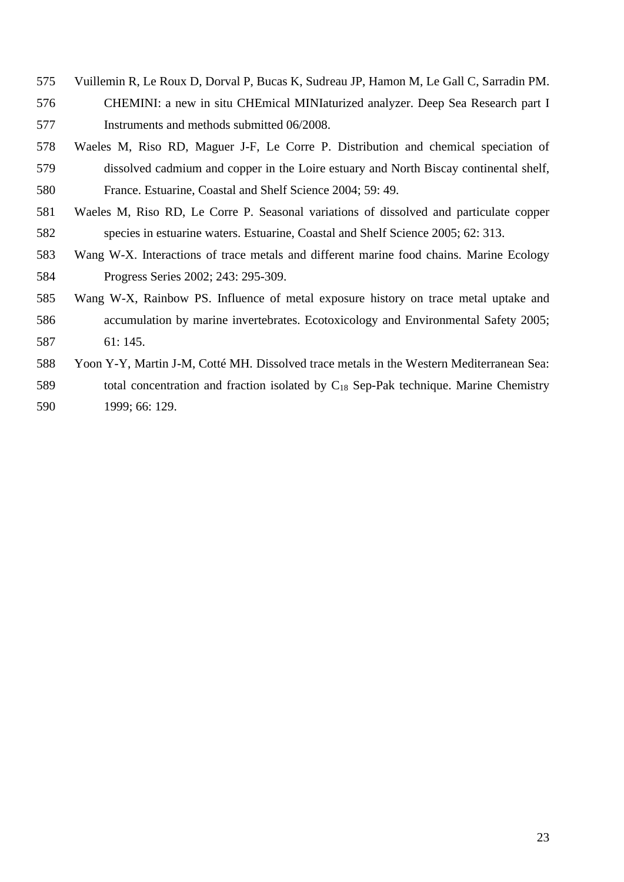- Vuillemin R, Le Roux D, Dorval P, Bucas K, Sudreau JP, Hamon M, Le Gall C, Sarradin PM. CHEMINI: a new in situ CHEmical MINIaturized analyzer. Deep Sea Research part I Instruments and methods submitted 06/2008.
- Waeles M, Riso RD, Maguer J-F, Le Corre P. Distribution and chemical speciation of dissolved cadmium and copper in the Loire estuary and North Biscay continental shelf, France. Estuarine, Coastal and Shelf Science 2004; 59: 49.
- Waeles M, Riso RD, Le Corre P. Seasonal variations of dissolved and particulate copper species in estuarine waters. Estuarine, Coastal and Shelf Science 2005; 62: 313.
- Wang W-X. Interactions of trace metals and different marine food chains. Marine Ecology Progress Series 2002; 243: 295-309.
- Wang W-X, Rainbow PS. Influence of metal exposure history on trace metal uptake and accumulation by marine invertebrates. Ecotoxicology and Environmental Safety 2005; 61: 145.
- Yoon Y-Y, Martin J-M, Cotté MH. Dissolved trace metals in the Western Mediterranean Sea: 589 total concentration and fraction isolated by  $C_{18}$  Sep-Pak technique. Marine Chemistry 1999; 66: 129.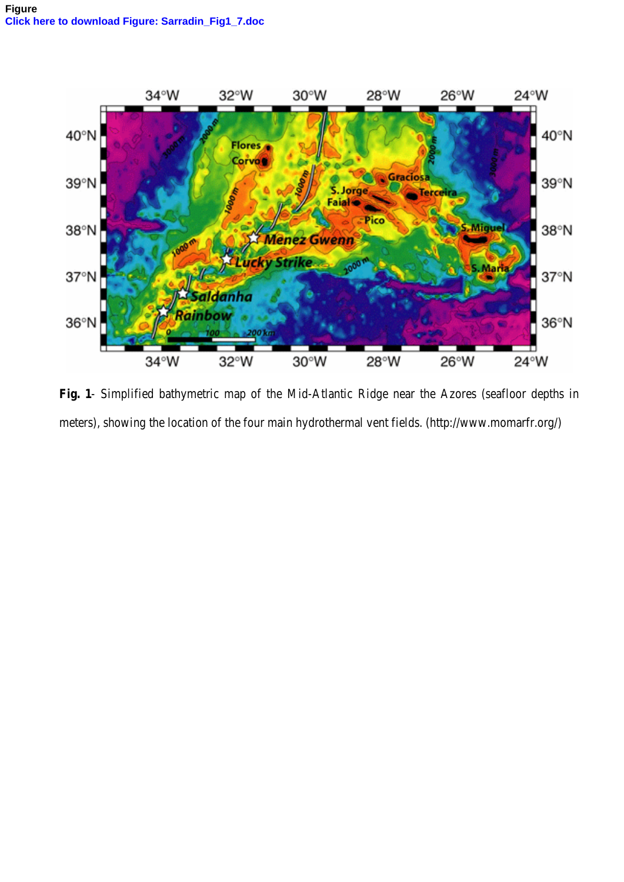

**Fig. 1**- Simplified bathymetric map of the Mid-Atlantic Ridge near the Azores (seafloor depths in meters), showing the location of the four main hydrothermal vent fields. (http://www.momarfr.org/)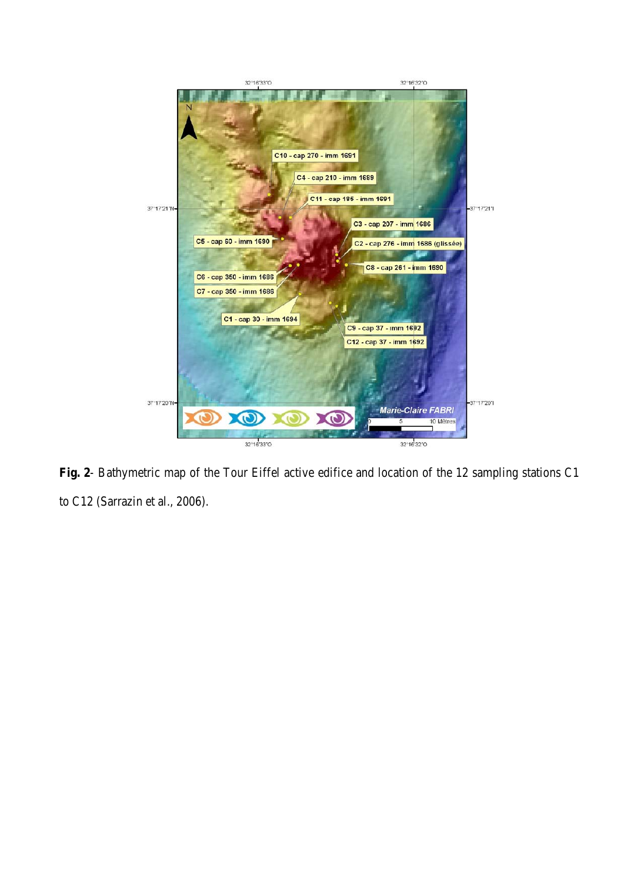

**Fig. 2**- Bathymetric map of the Tour Eiffel active edifice and location of the 12 sampling stations C1 to C12 (Sarrazin et al., 2006).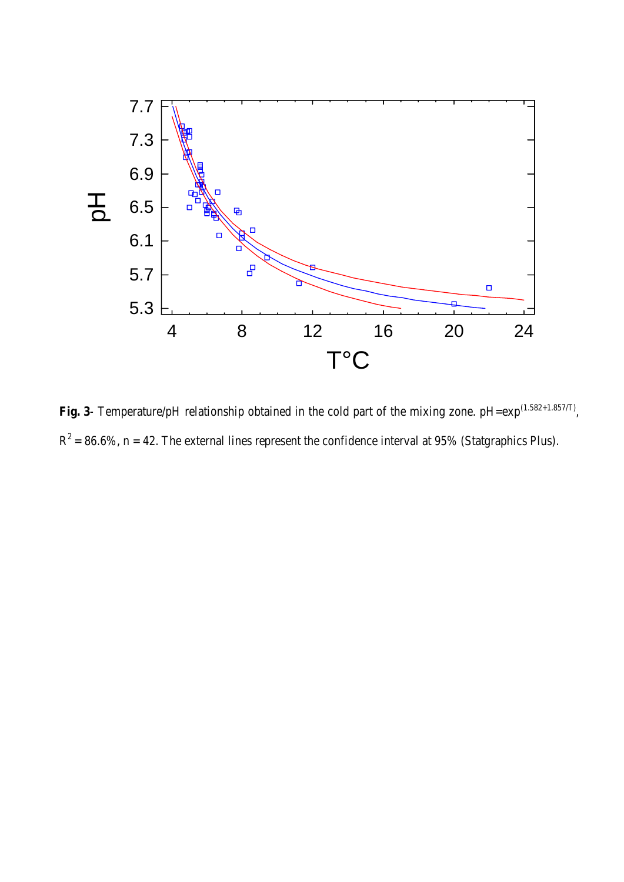

Fig. 3- Temperature/pH relationship obtained in the cold part of the mixing zone. pH=exp<sup>(1.582+1.857/T)</sup>,  $R^2 = 86.6\%$ , n = 42. The external lines represent the confidence interval at 95% (Statgraphics Plus).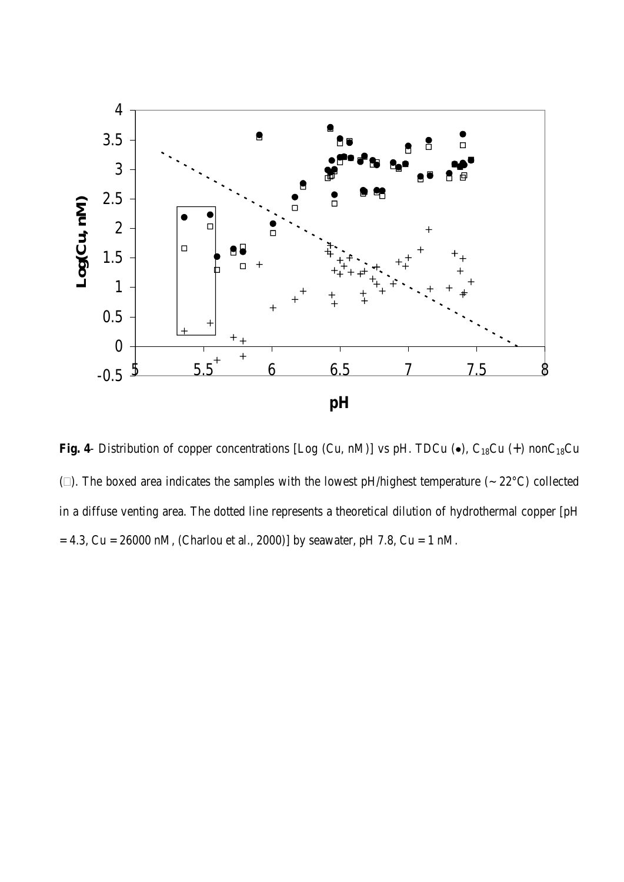

Fig. 4- Distribution of copper concentrations [Log (Cu, nM)] vs pH. TDCu  $(\bullet)$ , C<sub>18</sub>Cu (+) nonC<sub>18</sub>Cu ( $\square$ ). The boxed area indicates the samples with the lowest pH/highest temperature ( $\sim 22^{\circ}$ C) collected in a diffuse venting area. The dotted line represents a theoretical dilution of hydrothermal copper [pH  $= 4.3$ , Cu = 26000 nM, (Charlou et al., 2000)] by seawater, pH 7.8, Cu = 1 nM.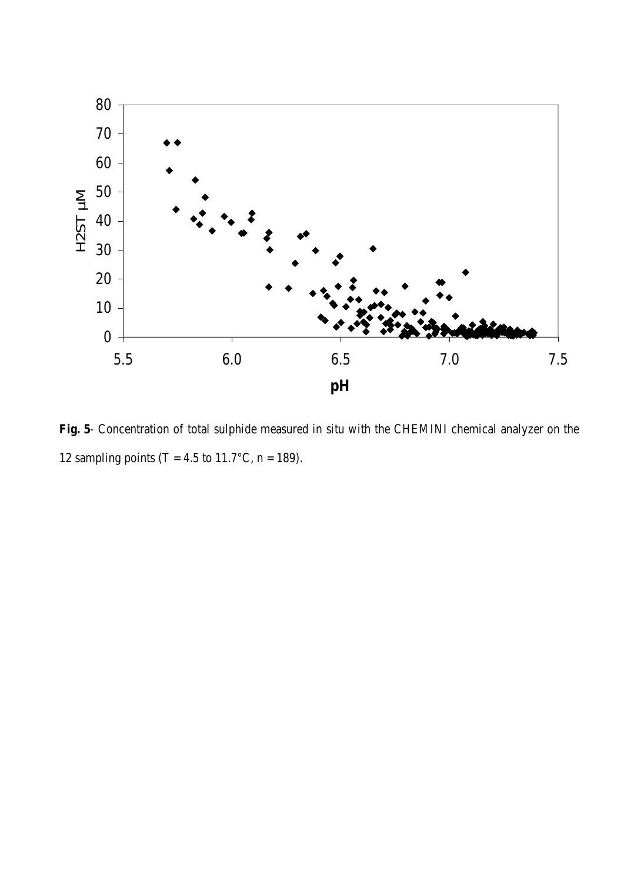

**Fig. 5**- Concentration of total sulphide measured in situ with the CHEMINI chemical analyzer on the 12 sampling points (T = 4.5 to 11.7°C, n = 189).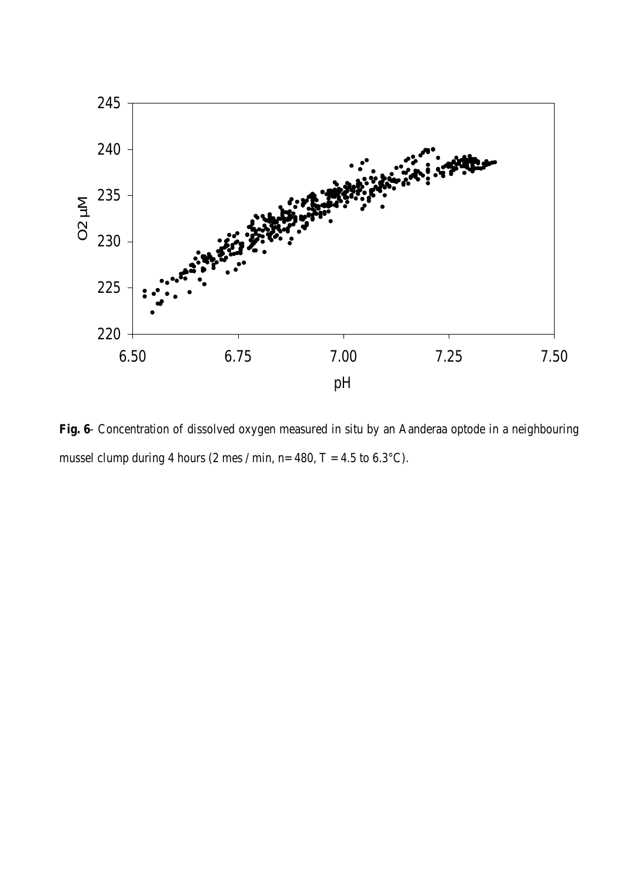

**Fig. 6**- Concentration of dissolved oxygen measured in situ by an Aanderaa optode in a neighbouring mussel clump during 4 hours (2 mes / min, n= 480, T = 4.5 to 6.3°C).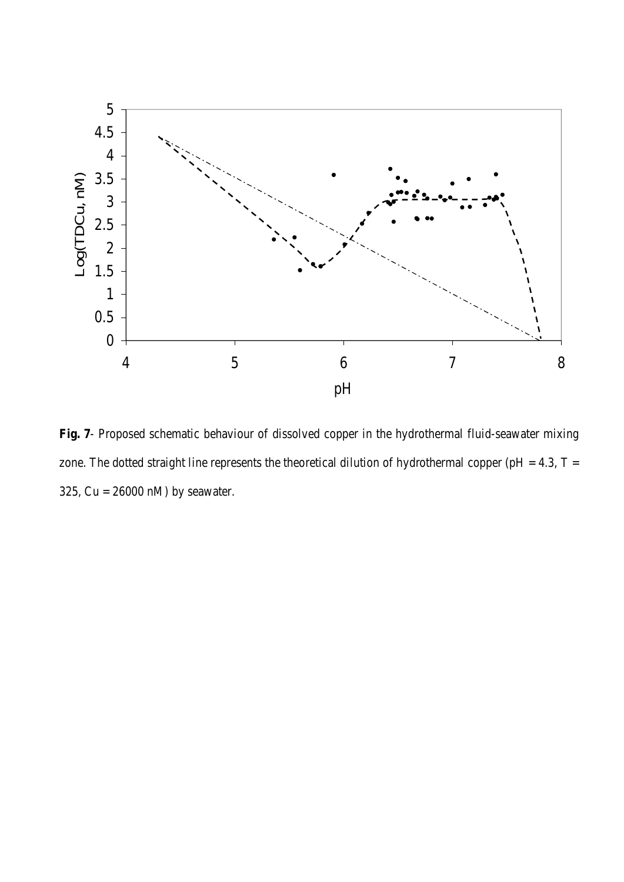

**Fig. 7**- Proposed schematic behaviour of dissolved copper in the hydrothermal fluid-seawater mixing zone. The dotted straight line represents the theoretical dilution of hydrothermal copper (pH = 4.3,  $T =$ 325, Cu = 26000 nM) by seawater.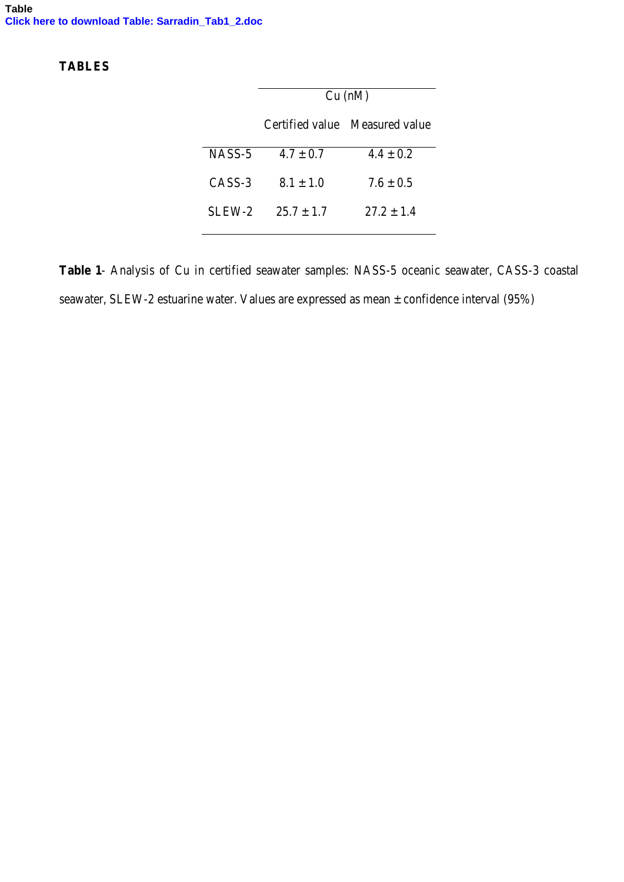## **TABLES**

|        | Cu (nM)      |                                |  |  |
|--------|--------------|--------------------------------|--|--|
|        |              | Certified value Measured value |  |  |
| NASS-5 | $4.7 + 0.7$  | $4.4 + 0.2$                    |  |  |
| CASS-3 | $8.1 + 1.0$  | $7.6 + 0.5$                    |  |  |
| SLEW-2 | $25.7 + 1.7$ | $27.2 + 1.4$                   |  |  |

**Table 1**- Analysis of Cu in certified seawater samples: NASS-5 oceanic seawater, CASS-3 coastal seawater, SLEW-2 estuarine water. Values are expressed as mean ± confidence interval (95%)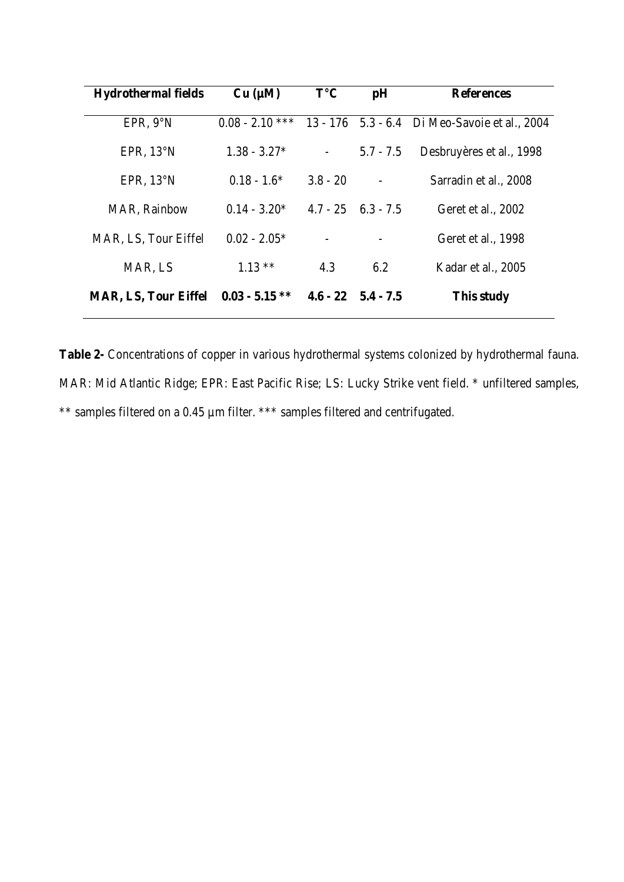| <b>Hydrothermal fields</b>  | Cu (µM)           | $T^{\circ}C$ | pH                         | <b>References</b>                             |
|-----------------------------|-------------------|--------------|----------------------------|-----------------------------------------------|
| EPR, 9°N                    | $0.08 - 2.10$ *** |              |                            | 13 - 176 5.3 - 6.4 Di Meo-Savoie et al., 2004 |
| EPR, $13^{\circ}$ N         | $1.38 - 3.27*$    |              | $5.7 - 7.5$                | Desbruyères et al., 1998                      |
| EPR, $13^{\circ}N$          | $0.18 - 1.6*$     | $3.8 - 20$   |                            | Sarradin et al., 2008                         |
| <b>MAR, Rainbow</b>         | $0.14 - 3.20*$    |              | $4.7 - 25$ $6.3 - 7.5$     | Geret et al., 2002                            |
| MAR, LS, Tour Eiffel        | $0.02 - 2.05*$    |              |                            | Geret et al., 1998                            |
| MAR, LS                     | $1.13**$          | 4.3          | 6.2                        | Kadar et al., 2005                            |
| <b>MAR, LS, Tour Eiffel</b> | $0.03 - 5.15$ **  |              | $4.6 - 22 \quad 5.4 - 7.5$ | This study                                    |

**Table 2-** Concentrations of copper in various hydrothermal systems colonized by hydrothermal fauna. MAR: Mid Atlantic Ridge; EPR: East Pacific Rise; LS: Lucky Strike vent field. \* unfiltered samples, \*\* samples filtered on a 0.45 µm filter. \*\*\* samples filtered and centrifugated.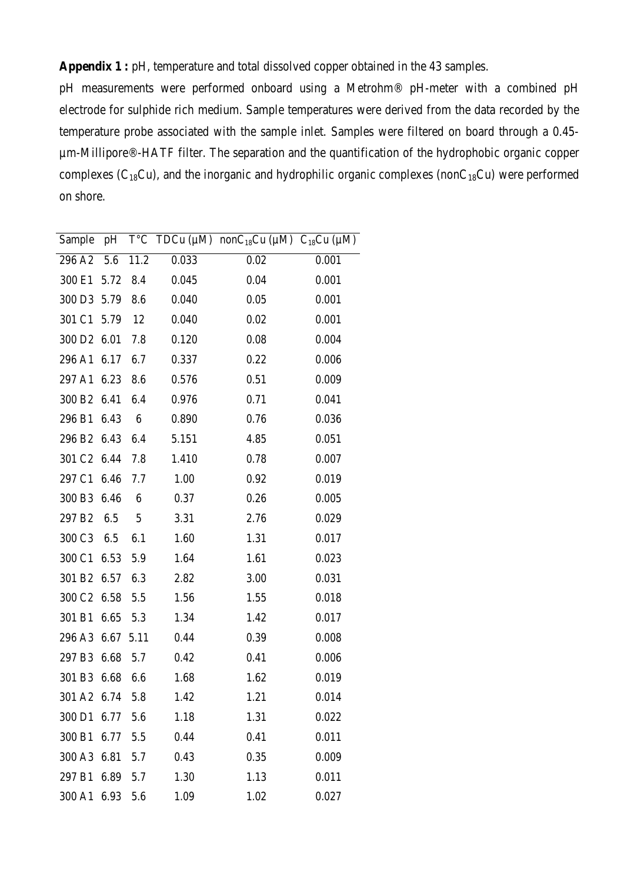**Appendix 1 :** pH, temperature and total dissolved copper obtained in the 43 samples.

pH measurements were performed onboard using a Metrohm® pH-meter with a combined pH electrode for sulphide rich medium. Sample temperatures were derived from the data recorded by the temperature probe associated with the sample inlet. Samples were filtered on board through a 0.45 µm-Millipore®-HATF filter. The separation and the quantification of the hydrophobic organic copper complexes ( $C_{18}Cu$ ), and the inorganic and hydrophilic organic complexes (non $C_{18}Cu$ ) were performed on shore.

| Sample             |          |      |       | pH $T^{\circ}C$ TDCu (µM) nonC <sub>18</sub> Cu (µM) C <sub>18</sub> Cu (µM) |       |
|--------------------|----------|------|-------|------------------------------------------------------------------------------|-------|
| 296 A2             | 5.6      | 11.2 | 0.033 | 0.02                                                                         | 0.001 |
| 300 E1             | 5.72     | 8.4  | 0.045 | 0.04                                                                         | 0.001 |
| 300 D3             | 5.79     | 8.6  | 0.040 | 0.05                                                                         | 0.001 |
| 301 C1             | 5.79     | 12   | 0.040 | 0.02                                                                         | 0.001 |
| 300 D <sub>2</sub> | 6.01     | 7.8  | 0.120 | 0.08                                                                         | 0.004 |
| 296 A1             | 6.17     | 6.7  | 0.337 | 0.22                                                                         | 0.006 |
| 297 A1             | 6.23     | 8.6  | 0.576 | 0.51                                                                         | 0.009 |
| 300 B <sub>2</sub> | 6.41     | 6.4  | 0.976 | 0.71                                                                         | 0.041 |
| 296 B1             | 6.43     | 6    | 0.890 | 0.76                                                                         | 0.036 |
| 296 B <sub>2</sub> | 6.43     | 6.4  | 5.151 | 4.85                                                                         | 0.051 |
| 301 C <sub>2</sub> | 6.44     | 7.8  | 1.410 | 0.78                                                                         | 0.007 |
| 297 C1             | 6.46     | 7.7  | 1.00  | 0.92                                                                         | 0.019 |
| 300 B3             | 6.46     | 6    | 0.37  | 0.26                                                                         | 0.005 |
| 297 B <sub>2</sub> | 6.5      | 5    | 3.31  | 2.76                                                                         | 0.029 |
| 300 C3             | 6.5      | 6.1  | 1.60  | 1.31                                                                         | 0.017 |
| 300 C1             | 6.53     | 5.9  | 1.64  | 1.61                                                                         | 0.023 |
| 301 B <sub>2</sub> | 6.57     | 6.3  | 2.82  | 3.00                                                                         | 0.031 |
| 300 C <sub>2</sub> | 6.58     | 5.5  | 1.56  | 1.55                                                                         | 0.018 |
| 301 B1             | 6.65     | 5.3  | 1.34  | 1.42                                                                         | 0.017 |
| 296 A3             | 6.67     | 5.11 | 0.44  | 0.39                                                                         | 0.008 |
| 297 B3             | 6.68     | 5.7  | 0.42  | 0.41                                                                         | 0.006 |
| 301 B3             | 6.68     | 6.6  | 1.68  | 1.62                                                                         | 0.019 |
| 301 A2 6.74 5.8    |          |      | 1.42  | 1.21                                                                         | 0.014 |
| 300 D1             | 6.77     | 5.6  | 1.18  | 1.31                                                                         | 0.022 |
| 300 B1             | 6.77 5.5 |      | 0.44  | 0.41                                                                         | 0.011 |
| 300 A3 6.81        |          | 5.7  | 0.43  | 0.35                                                                         | 0.009 |
| 297 B1             | 6.89     | 5.7  | 1.30  | 1.13                                                                         | 0.011 |
| 300 A1 6.93 5.6    |          |      | 1.09  | 1.02                                                                         | 0.027 |